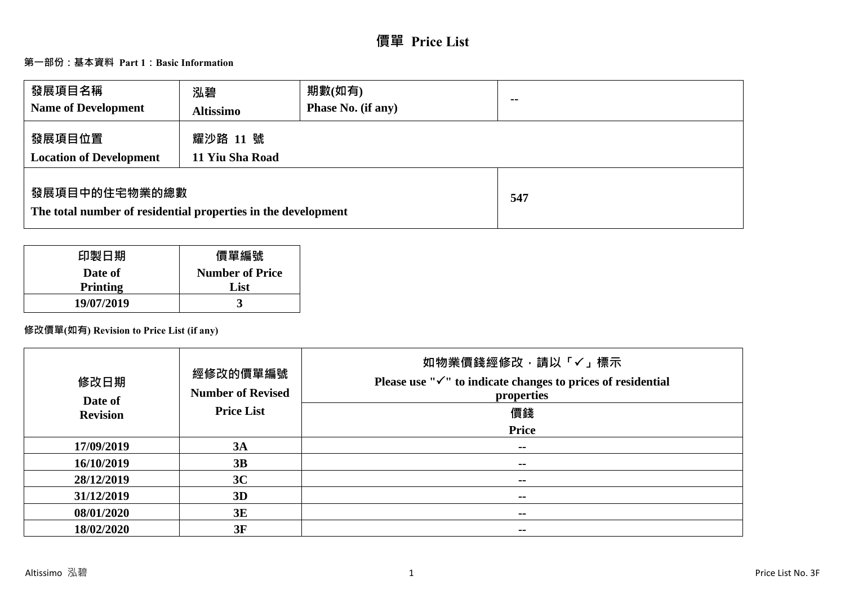# **價單 Price List**

# **第一部份:基本資料 Part 1:Basic Information**

| 發展項目名稱<br><b>Name of Development</b>                                           | 泓碧<br><b>Altissimo</b>      | 期數(如有)<br>Phase No. (if any) | $\sim$ $\sim$ |
|--------------------------------------------------------------------------------|-----------------------------|------------------------------|---------------|
| 發展項目位置<br><b>Location of Development</b>                                       | 耀沙路 11 號<br>11 Yiu Sha Road |                              |               |
| 發展項目中的住宅物業的總數<br>The total number of residential properties in the development |                             |                              | 547           |

| 印製日期            | 價單編號                   |
|-----------------|------------------------|
| Date of         | <b>Number of Price</b> |
| <b>Printing</b> | List                   |
| 19/07/2019      |                        |

# **修改價單(如有) Revision to Price List (if any)**

| 修改日期<br>Date of | 經修改的價單編號<br><b>Number of Revised</b> | 如物業價錢經修改,請以「√」標示<br>Please use " $\checkmark$ " to indicate changes to prices of residential<br>properties |
|-----------------|--------------------------------------|------------------------------------------------------------------------------------------------------------|
| <b>Revision</b> | <b>Price List</b>                    | 價錢                                                                                                         |
|                 |                                      | <b>Price</b>                                                                                               |
| 17/09/2019      | 3A                                   | --                                                                                                         |
| 16/10/2019      | 3B                                   | $- -$                                                                                                      |
| 28/12/2019      | 3C                                   | --                                                                                                         |
| 31/12/2019      | 3D                                   | --                                                                                                         |
| 08/01/2020      | 3E                                   | --                                                                                                         |
| 18/02/2020      | 3F                                   | $\sim$                                                                                                     |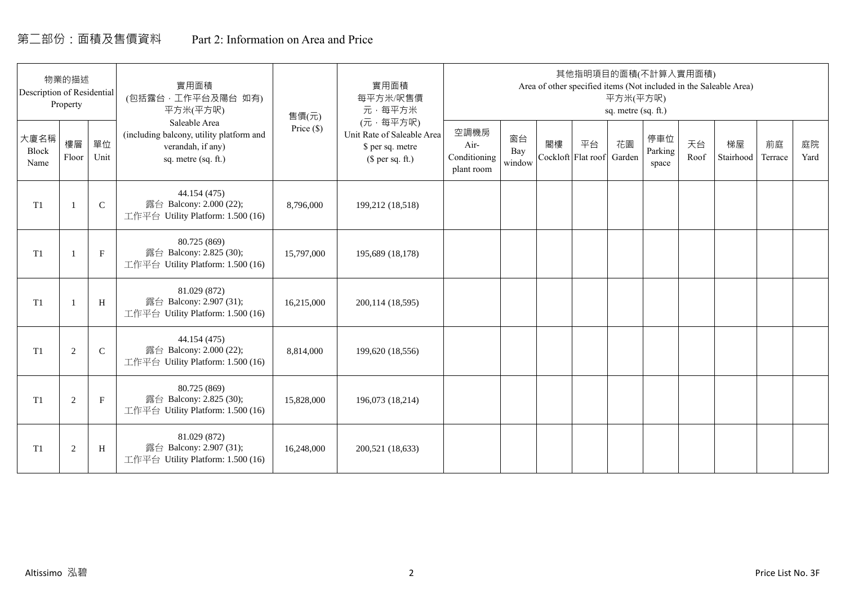# 第二部份:面積及售價資料 Part 2: Information on Area and Price

| Description of Residential | 物業的描述<br>Property |              | 實用面積<br>(包括露台, 工作平台及陽台 如有)<br>平方米(平方呎)                                                                | 售價(元)      | 實用面積<br>每平方米/呎售價<br>元·每平方米                                                     |                                            |                     |    | 其他指明項目的面積(不計算入實用面積)             | 平方米(平方呎)<br>sq. metre (sq. ft.) |                         |            | Area of other specified items (Not included in the Saleable Area) |               |            |
|----------------------------|-------------------|--------------|-------------------------------------------------------------------------------------------------------|------------|--------------------------------------------------------------------------------|--------------------------------------------|---------------------|----|---------------------------------|---------------------------------|-------------------------|------------|-------------------------------------------------------------------|---------------|------------|
| 大廈名稱<br>Block<br>Name      | 樓層<br>Floor       | 單位<br>Unit   | Saleable Area<br>(including balcony, utility platform and<br>verandah, if any)<br>sq. metre (sq. ft.) | Price (\$) | (元·每平方呎)<br>Unit Rate of Saleable Area<br>\$ per sq. metre<br>$$$ per sq. ft.) | 空調機房<br>Air-<br>Conditioning<br>plant room | 窗台<br>Bay<br>window | 閣樓 | 平台<br>Cockloft Flat roof Garden | 花園                              | 停車位<br>Parking<br>space | 天台<br>Roof | 梯屋<br>Stairhood                                                   | 前庭<br>Terrace | 庭院<br>Yard |
| T1                         |                   | $\mathsf{C}$ | 44.154 (475)<br>露台 Balcony: 2.000 (22);<br>工作平台 Utility Platform: 1.500 (16)                          | 8,796,000  | 199,212 (18,518)                                                               |                                            |                     |    |                                 |                                 |                         |            |                                                                   |               |            |
| T1                         |                   | $\mathbf F$  | 80.725 (869)<br>露台 Balcony: 2.825 (30);<br>工作平台 Utility Platform: 1.500 (16)                          | 15,797,000 | 195,689 (18,178)                                                               |                                            |                     |    |                                 |                                 |                         |            |                                                                   |               |            |
| T <sub>1</sub>             |                   | H            | 81.029 (872)<br>露台 Balcony: 2.907 (31);<br>工作平台 Utility Platform: 1.500 (16)                          | 16,215,000 | 200,114 (18,595)                                                               |                                            |                     |    |                                 |                                 |                         |            |                                                                   |               |            |
| T1                         | 2                 | $\mathbf C$  | 44.154 (475)<br>露台 Balcony: 2.000 (22);<br>工作平台 Utility Platform: 1.500 (16)                          | 8,814,000  | 199,620 (18,556)                                                               |                                            |                     |    |                                 |                                 |                         |            |                                                                   |               |            |
| T1                         | 2                 | $\mathbf{F}$ | 80.725 (869)<br>露台 Balcony: 2.825 (30);<br>工作平台 Utility Platform: 1.500 (16)                          | 15,828,000 | 196,073 (18,214)                                                               |                                            |                     |    |                                 |                                 |                         |            |                                                                   |               |            |
| T1                         | $\overline{2}$    | H            | 81.029 (872)<br>露台 Balcony: 2.907 (31);<br>工作平台 Utility Platform: 1.500 (16)                          | 16,248,000 | 200,521 (18,633)                                                               |                                            |                     |    |                                 |                                 |                         |            |                                                                   |               |            |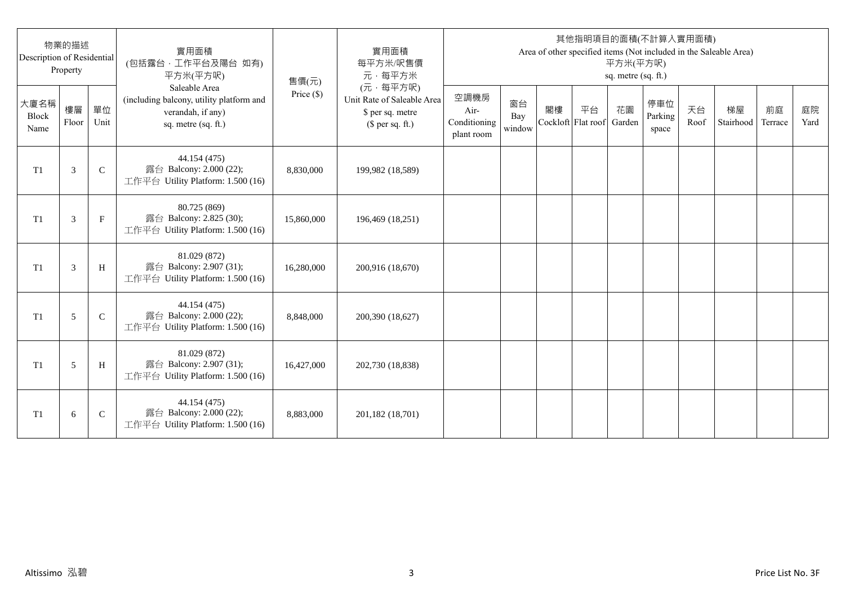| Description of Residential | 物業的描述<br>Property |              | 實用面積<br>(包括露台,工作平台及陽台 如有)<br>平方米(平方呎)                                                                 | 售價(元)      | 實用面積<br>每平方米/呎售價<br>元·每平方米                                                     |                                            |                     |                          |    | 平方米(平方呎)<br>sq. metre (sq. ft.) | 其他指明項目的面積(不計算入實用面積)     |            | Area of other specified items (Not included in the Saleable Area) |               |            |
|----------------------------|-------------------|--------------|-------------------------------------------------------------------------------------------------------|------------|--------------------------------------------------------------------------------|--------------------------------------------|---------------------|--------------------------|----|---------------------------------|-------------------------|------------|-------------------------------------------------------------------|---------------|------------|
| 大廈名稱<br>Block<br>Name      | 樓層<br>Floor       | 單位<br>Unit   | Saleable Area<br>(including balcony, utility platform and<br>verandah, if any)<br>sq. metre (sq. ft.) | Price (\$) | (元·每平方呎)<br>Unit Rate of Saleable Area<br>\$ per sq. metre<br>$$$ per sq. ft.) | 空調機房<br>Air-<br>Conditioning<br>plant room | 窗台<br>Bay<br>window | 閣樓<br>Cockloft Flat roof | 平台 | 花園<br>Garden                    | 停車位<br>Parking<br>space | 天台<br>Roof | 梯屋<br>Stairhood                                                   | 前庭<br>Terrace | 庭院<br>Yard |
| T <sub>1</sub>             | 3                 | $\mathsf{C}$ | 44.154 (475)<br>露台 Balcony: 2.000 (22);<br>工作平台 Utility Platform: 1.500 (16)                          | 8,830,000  | 199,982 (18,589)                                                               |                                            |                     |                          |    |                                 |                         |            |                                                                   |               |            |
| T <sub>1</sub>             | 3                 | $_{\rm F}$   | 80.725 (869)<br>露台 Balcony: 2.825 (30);<br>工作平台 Utility Platform: 1.500 (16)                          | 15,860,000 | 196,469 (18,251)                                                               |                                            |                     |                          |    |                                 |                         |            |                                                                   |               |            |
| T1                         | 3                 | H            | 81.029 (872)<br>露台 Balcony: 2.907 (31);<br>工作平台 Utility Platform: 1.500 (16)                          | 16,280,000 | 200,916 (18,670)                                                               |                                            |                     |                          |    |                                 |                         |            |                                                                   |               |            |
| T1                         | 5                 | $\mathsf{C}$ | 44.154 (475)<br>露台 Balcony: 2.000 (22);<br>工作平台 Utility Platform: 1.500 (16)                          | 8,848,000  | 200,390 (18,627)                                                               |                                            |                     |                          |    |                                 |                         |            |                                                                   |               |            |
| T1                         | 5                 | H            | 81.029 (872)<br>露台 Balcony: 2.907 (31);<br>工作平台 Utility Platform: 1.500 (16)                          | 16,427,000 | 202,730 (18,838)                                                               |                                            |                     |                          |    |                                 |                         |            |                                                                   |               |            |
| T <sub>1</sub>             | 6                 | $\mathsf{C}$ | 44.154 (475)<br>露台 Balcony: 2.000 (22);<br>工作平台 Utility Platform: 1.500 (16)                          | 8,883,000  | 201,182 (18,701)                                                               |                                            |                     |                          |    |                                 |                         |            |                                                                   |               |            |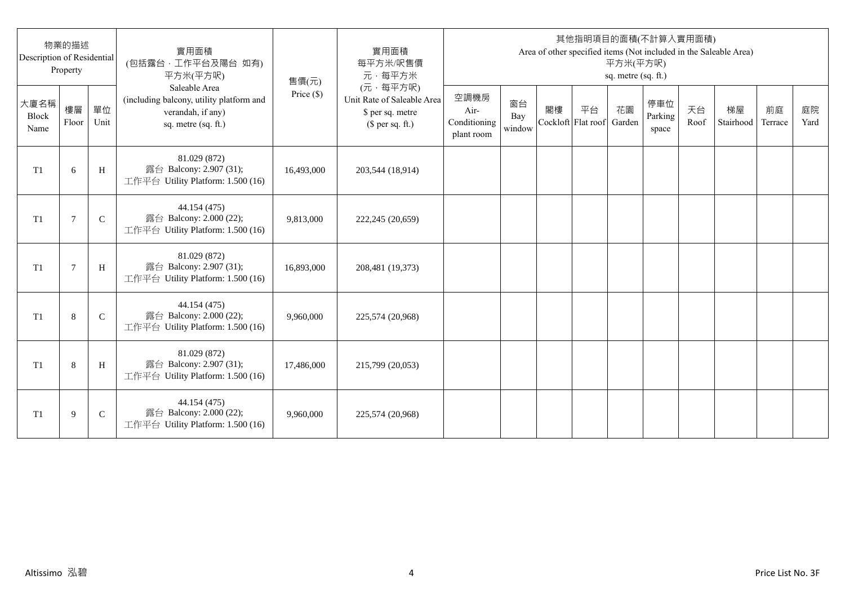| Description of Residential | 物業的描述<br>Property |              | 實用面積<br>(包括露台,工作平台及陽台 如有)<br>平方米(平方呎)                                                                 | 售價(元)      | 實用面積<br>每平方米/呎售價<br>元·每平方米                                                     |                                            |                     |                          |    | 平方米(平方呎)<br>sq. metre (sq. ft.) | 其他指明項目的面積(不計算入實用面積)     |            | Area of other specified items (Not included in the Saleable Area) |               |            |
|----------------------------|-------------------|--------------|-------------------------------------------------------------------------------------------------------|------------|--------------------------------------------------------------------------------|--------------------------------------------|---------------------|--------------------------|----|---------------------------------|-------------------------|------------|-------------------------------------------------------------------|---------------|------------|
| 大廈名稱<br>Block<br>Name      | 樓層<br>Floor       | 單位<br>Unit   | Saleable Area<br>(including balcony, utility platform and<br>verandah, if any)<br>sq. metre (sq. ft.) | Price (\$) | (元·每平方呎)<br>Unit Rate of Saleable Area<br>\$ per sq. metre<br>$$$ per sq. ft.) | 空調機房<br>Air-<br>Conditioning<br>plant room | 窗台<br>Bay<br>window | 閣樓<br>Cockloft Flat roof | 平台 | 花園<br>Garden                    | 停車位<br>Parking<br>space | 天台<br>Roof | 梯屋<br>Stairhood                                                   | 前庭<br>Terrace | 庭院<br>Yard |
| T <sub>1</sub>             | 6                 | H            | 81.029 (872)<br>露台 Balcony: 2.907 (31);<br>工作平台 Utility Platform: 1.500 (16)                          | 16,493,000 | 203,544 (18,914)                                                               |                                            |                     |                          |    |                                 |                         |            |                                                                   |               |            |
| T <sub>1</sub>             | 7                 | $\mathsf{C}$ | 44.154 (475)<br>露台 Balcony: 2.000 (22);<br>工作平台 Utility Platform: 1.500 (16)                          | 9,813,000  | 222,245 (20,659)                                                               |                                            |                     |                          |    |                                 |                         |            |                                                                   |               |            |
| T1                         | $\overline{7}$    | H            | 81.029 (872)<br>露台 Balcony: 2.907 (31);<br>工作平台 Utility Platform: 1.500 (16)                          | 16,893,000 | 208,481 (19,373)                                                               |                                            |                     |                          |    |                                 |                         |            |                                                                   |               |            |
| T1                         | 8                 | $\mathsf{C}$ | 44.154 (475)<br>露台 Balcony: 2.000 (22);<br>工作平台 Utility Platform: 1.500 (16)                          | 9,960,000  | 225,574 (20,968)                                                               |                                            |                     |                          |    |                                 |                         |            |                                                                   |               |            |
| T1                         | 8                 | H            | 81.029 (872)<br>露台 Balcony: 2.907 (31);<br>工作平台 Utility Platform: 1.500 (16)                          | 17,486,000 | 215,799 (20,053)                                                               |                                            |                     |                          |    |                                 |                         |            |                                                                   |               |            |
| T <sub>1</sub>             | 9                 | $\mathsf{C}$ | 44.154 (475)<br>露台 Balcony: 2.000 (22);<br>工作平台 Utility Platform: 1.500 (16)                          | 9,960,000  | 225,574 (20,968)                                                               |                                            |                     |                          |    |                                 |                         |            |                                                                   |               |            |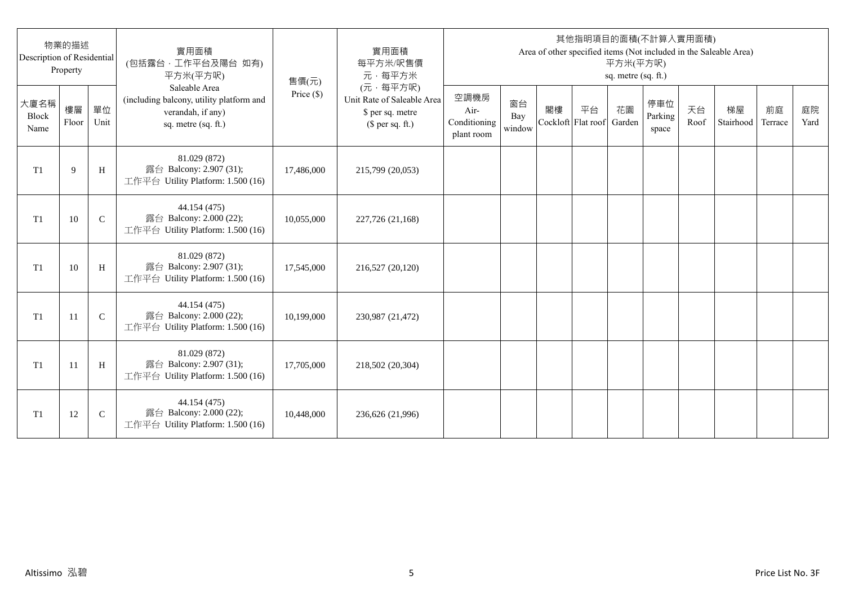| Description of Residential | 物業的描述<br>Property |              | 實用面積<br>(包括露台,工作平台及陽台 如有)<br>平方米(平方呎)                                                                 | 售價(元)      | 實用面積<br>每平方米/呎售價<br>元·每平方米                                                     |                                            |                     |                          |    | 平方米(平方呎)<br>sq. metre (sq. ft.) | 其他指明項目的面積(不計算入實用面積)     |            | Area of other specified items (Not included in the Saleable Area) |               |            |
|----------------------------|-------------------|--------------|-------------------------------------------------------------------------------------------------------|------------|--------------------------------------------------------------------------------|--------------------------------------------|---------------------|--------------------------|----|---------------------------------|-------------------------|------------|-------------------------------------------------------------------|---------------|------------|
| 大廈名稱<br>Block<br>Name      | 樓層<br>Floor       | 單位<br>Unit   | Saleable Area<br>(including balcony, utility platform and<br>verandah, if any)<br>sq. metre (sq. ft.) | Price (\$) | (元·每平方呎)<br>Unit Rate of Saleable Area<br>\$ per sq. metre<br>$$$ per sq. ft.) | 空調機房<br>Air-<br>Conditioning<br>plant room | 窗台<br>Bay<br>window | 閣樓<br>Cockloft Flat roof | 平台 | 花園<br>Garden                    | 停車位<br>Parking<br>space | 天台<br>Roof | 梯屋<br>Stairhood                                                   | 前庭<br>Terrace | 庭院<br>Yard |
| T <sub>1</sub>             | 9                 | H            | 81.029 (872)<br>露台 Balcony: 2.907 (31);<br>工作平台 Utility Platform: 1.500 (16)                          | 17,486,000 | 215,799 (20,053)                                                               |                                            |                     |                          |    |                                 |                         |            |                                                                   |               |            |
| T <sub>1</sub>             | 10                | $\mathsf{C}$ | 44.154 (475)<br>露台 Balcony: 2.000 (22);<br>工作平台 Utility Platform: 1.500 (16)                          | 10,055,000 | 227,726 (21,168)                                                               |                                            |                     |                          |    |                                 |                         |            |                                                                   |               |            |
| T1                         | 10                | H            | 81.029 (872)<br>露台 Balcony: 2.907 (31);<br>工作平台 Utility Platform: 1.500 (16)                          | 17,545,000 | 216,527 (20,120)                                                               |                                            |                     |                          |    |                                 |                         |            |                                                                   |               |            |
| T1                         | 11                | $\mathbf C$  | 44.154 (475)<br>露台 Balcony: 2.000 (22);<br>工作平台 Utility Platform: 1.500 (16)                          | 10,199,000 | 230,987 (21,472)                                                               |                                            |                     |                          |    |                                 |                         |            |                                                                   |               |            |
| T1                         | -11               | H            | 81.029 (872)<br>露台 Balcony: 2.907 (31);<br>工作平台 Utility Platform: 1.500 (16)                          | 17,705,000 | 218,502 (20,304)                                                               |                                            |                     |                          |    |                                 |                         |            |                                                                   |               |            |
| T <sub>1</sub>             | 12                | $\mathsf{C}$ | 44.154 (475)<br>露台 Balcony: 2.000 (22);<br>工作平台 Utility Platform: 1.500 (16)                          | 10,448,000 | 236,626 (21,996)                                                               |                                            |                     |                          |    |                                 |                         |            |                                                                   |               |            |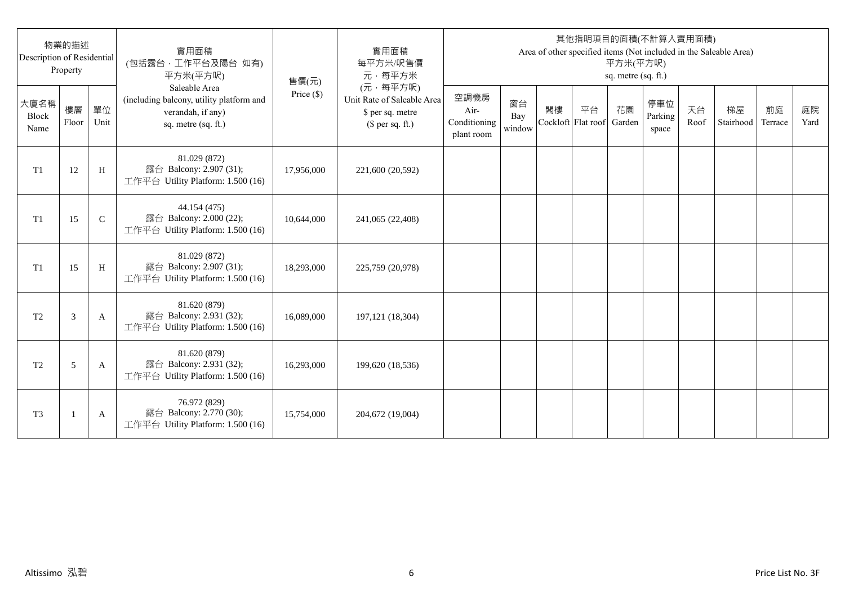| Description of Residential | 物業的描述<br>Property |               | 實用面積<br>(包括露台,工作平台及陽台 如有)<br>平方米(平方呎)                                                                 | 售價(元)      | 實用面積<br>每平方米/呎售價<br>元·每平方米                                                     |                                            |                     |    |                          | 平方米(平方呎)<br>sq. metre (sq. ft.) | 其他指明項目的面積(不計算入實用面積)     |            | Area of other specified items (Not included in the Saleable Area) |               |            |
|----------------------------|-------------------|---------------|-------------------------------------------------------------------------------------------------------|------------|--------------------------------------------------------------------------------|--------------------------------------------|---------------------|----|--------------------------|---------------------------------|-------------------------|------------|-------------------------------------------------------------------|---------------|------------|
| 大廈名稱<br>Block<br>Name      | 樓層<br>Floor       | 單位<br>Unit    | Saleable Area<br>(including balcony, utility platform and<br>verandah, if any)<br>sq. metre (sq. ft.) | Price (\$) | (元·每平方呎)<br>Unit Rate of Saleable Area<br>\$ per sq. metre<br>$$$ per sq. ft.) | 空調機房<br>Air-<br>Conditioning<br>plant room | 窗台<br>Bay<br>window | 閣樓 | 平台<br>Cockloft Flat roof | 花園<br>Garden                    | 停車位<br>Parking<br>space | 天台<br>Roof | 梯屋<br>Stairhood                                                   | 前庭<br>Terrace | 庭院<br>Yard |
| T1                         | 12                | H             | 81.029 (872)<br>露台 Balcony: 2.907 (31);<br>工作平台 Utility Platform: 1.500 (16)                          | 17,956,000 | 221,600 (20,592)                                                               |                                            |                     |    |                          |                                 |                         |            |                                                                   |               |            |
| T1                         | 15                | $\mathcal{C}$ | 44.154 (475)<br>露台 Balcony: 2.000 (22);<br>工作平台 Utility Platform: 1.500 (16)                          | 10,644,000 | 241,065 (22,408)                                                               |                                            |                     |    |                          |                                 |                         |            |                                                                   |               |            |
| T1                         | 15                | H             | 81.029 (872)<br>露台 Balcony: 2.907 (31);<br>工作平台 Utility Platform: 1.500 (16)                          | 18,293,000 | 225,759 (20,978)                                                               |                                            |                     |    |                          |                                 |                         |            |                                                                   |               |            |
| T <sub>2</sub>             | 3                 | A             | 81.620 (879)<br>露台 Balcony: 2.931 (32);<br>工作平台 Utility Platform: 1.500 (16)                          | 16,089,000 | 197, 121 (18, 304)                                                             |                                            |                     |    |                          |                                 |                         |            |                                                                   |               |            |
| T <sub>2</sub>             | 5                 | A             | 81.620 (879)<br>露台 Balcony: 2.931 (32);<br>工作平台 Utility Platform: 1.500 (16)                          | 16,293,000 | 199,620 (18,536)                                                               |                                            |                     |    |                          |                                 |                         |            |                                                                   |               |            |
| T <sub>3</sub>             |                   | A             | 76.972 (829)<br>露台 Balcony: 2.770 (30);<br>工作平台 Utility Platform: 1.500 (16)                          | 15,754,000 | 204,672 (19,004)                                                               |                                            |                     |    |                          |                                 |                         |            |                                                                   |               |            |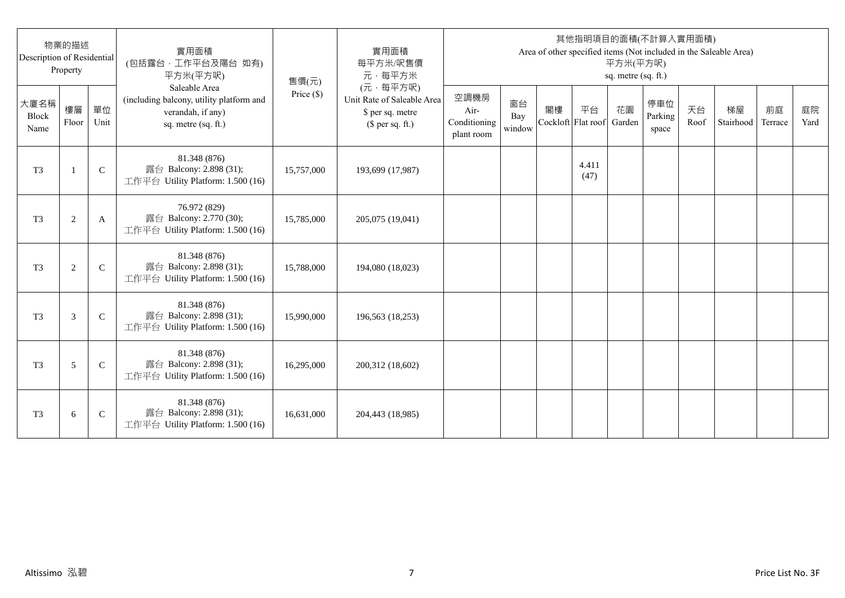| Description of Residential | 物業的描述<br>Property |              | 實用面積<br>(包括露台,工作平台及陽台 如有)<br>平方米(平方呎)                                                                 | 售價(元)      | 實用面積<br>每平方米/呎售價<br>元·每平方米                                                     |                                            |                     |    |                          | 平方米(平方呎)<br>sq. metre (sq. ft.) | 其他指明項目的面積(不計算入實用面積)     |            | Area of other specified items (Not included in the Saleable Area) |               |            |
|----------------------------|-------------------|--------------|-------------------------------------------------------------------------------------------------------|------------|--------------------------------------------------------------------------------|--------------------------------------------|---------------------|----|--------------------------|---------------------------------|-------------------------|------------|-------------------------------------------------------------------|---------------|------------|
| 大廈名稱<br>Block<br>Name      | 樓層<br>Floor       | 單位<br>Unit   | Saleable Area<br>(including balcony, utility platform and<br>verandah, if any)<br>sq. metre (sq. ft.) | Price (\$) | (元·每平方呎)<br>Unit Rate of Saleable Area<br>\$ per sq. metre<br>$$$ per sq. ft.) | 空調機房<br>Air-<br>Conditioning<br>plant room | 窗台<br>Bay<br>window | 閣樓 | 平台<br>Cockloft Flat roof | 花園<br>Garden                    | 停車位<br>Parking<br>space | 天台<br>Roof | 梯屋<br>Stairhood                                                   | 前庭<br>Terrace | 庭院<br>Yard |
| T <sub>3</sub>             | $\mathbf{1}$      | $\mathsf{C}$ | 81.348 (876)<br>露台 Balcony: 2.898 (31);<br>工作平台 Utility Platform: 1.500 (16)                          | 15,757,000 | 193,699 (17,987)                                                               |                                            |                     |    | 4.411<br>(47)            |                                 |                         |            |                                                                   |               |            |
| T <sub>3</sub>             | $\overline{c}$    | A            | 76.972 (829)<br>露台 Balcony: 2.770 (30);<br>工作平台 Utility Platform: 1.500 (16)                          | 15,785,000 | 205,075 (19,041)                                                               |                                            |                     |    |                          |                                 |                         |            |                                                                   |               |            |
| T <sub>3</sub>             | $\mathbf{2}$      | $\mathsf{C}$ | 81.348 (876)<br>露台 Balcony: 2.898 (31);<br>工作平台 Utility Platform: 1.500 (16)                          | 15,788,000 | 194,080 (18,023)                                                               |                                            |                     |    |                          |                                 |                         |            |                                                                   |               |            |
| T <sub>3</sub>             | 3                 | $\mathsf{C}$ | 81.348 (876)<br>露台 Balcony: 2.898 (31);<br>工作平台 Utility Platform: 1.500 (16)                          | 15,990,000 | 196,563 (18,253)                                                               |                                            |                     |    |                          |                                 |                         |            |                                                                   |               |            |
| T <sub>3</sub>             | 5                 | $\mathsf{C}$ | 81.348 (876)<br>露台 Balcony: 2.898 (31);<br>工作平台 Utility Platform: 1.500 (16)                          | 16,295,000 | 200,312 (18,602)                                                               |                                            |                     |    |                          |                                 |                         |            |                                                                   |               |            |
| T <sub>3</sub>             | 6                 | $\mathsf{C}$ | 81.348 (876)<br>露台 Balcony: 2.898 (31);<br>工作平台 Utility Platform: 1.500 (16)                          | 16,631,000 | 204,443 (18,985)                                                               |                                            |                     |    |                          |                                 |                         |            |                                                                   |               |            |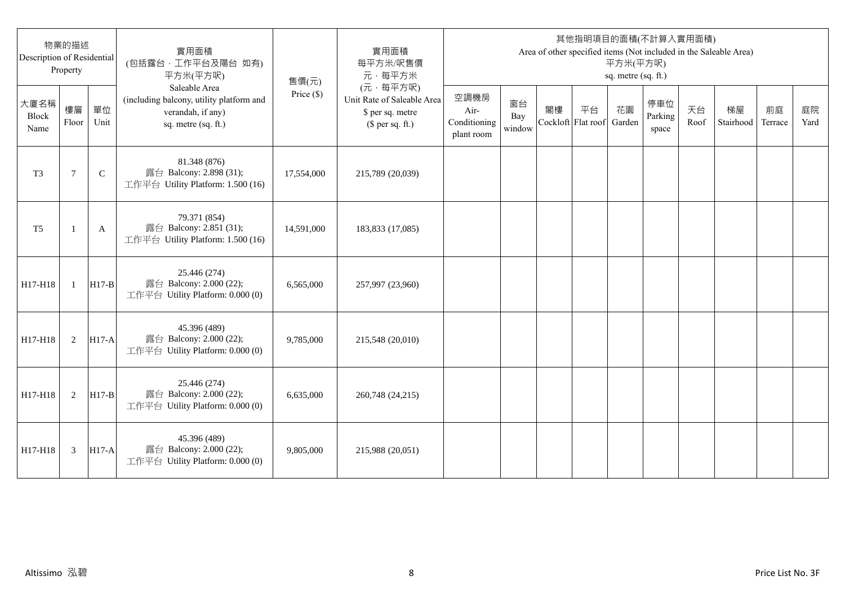| Description of Residential | 物業的描述<br>Property |              | 實用面積<br>(包括露台,工作平台及陽台 如有)<br>平方米(平方呎)                                                                 | 售價(元)        | 實用面積<br>每平方米/呎售價<br>元·每平方米                                                     |                                            |                     |                          |    | 平方米(平方呎)<br>sq. metre (sq. ft.) | 其他指明項目的面積(不計算入實用面積)     |            | Area of other specified items (Not included in the Saleable Area) |               |            |
|----------------------------|-------------------|--------------|-------------------------------------------------------------------------------------------------------|--------------|--------------------------------------------------------------------------------|--------------------------------------------|---------------------|--------------------------|----|---------------------------------|-------------------------|------------|-------------------------------------------------------------------|---------------|------------|
| 大廈名稱<br>Block<br>Name      | 樓層<br>Floor       | 單位<br>Unit   | Saleable Area<br>(including balcony, utility platform and<br>verandah, if any)<br>sq. metre (sq. ft.) | Price $(\$)$ | (元·每平方呎)<br>Unit Rate of Saleable Area<br>\$ per sq. metre<br>$$$ per sq. ft.) | 空調機房<br>Air-<br>Conditioning<br>plant room | 窗台<br>Bay<br>window | 閣樓<br>Cockloft Flat roof | 平台 | 花園<br>Garden                    | 停車位<br>Parking<br>space | 天台<br>Roof | 梯屋<br>Stairhood                                                   | 前庭<br>Terrace | 庭院<br>Yard |
| T <sub>3</sub>             | 7                 | $\mathsf{C}$ | 81.348 (876)<br>露台 Balcony: 2.898 (31);<br>工作平台 Utility Platform: 1.500 (16)                          | 17,554,000   | 215,789 (20,039)                                                               |                                            |                     |                          |    |                                 |                         |            |                                                                   |               |            |
| T <sub>5</sub>             | -1                | A            | 79.371 (854)<br>露台 Balcony: 2.851 (31);<br>工作平台 Utility Platform: 1.500 (16)                          | 14,591,000   | 183,833 (17,085)                                                               |                                            |                     |                          |    |                                 |                         |            |                                                                   |               |            |
| H17-H18                    | $\mathbf{1}$      | $H17-B$      | 25.446 (274)<br>露台 Balcony: 2.000 (22);<br>工作平台 Utility Platform: 0.000 (0)                           | 6,565,000    | 257,997 (23,960)                                                               |                                            |                     |                          |    |                                 |                         |            |                                                                   |               |            |
| H17-H18                    | 2                 | $H17-A$      | 45.396 (489)<br>露台 Balcony: 2.000 (22);<br>工作平台 Utility Platform: 0.000 (0)                           | 9,785,000    | 215,548 (20,010)                                                               |                                            |                     |                          |    |                                 |                         |            |                                                                   |               |            |
| H17-H18                    | 2                 | $H17-B$      | 25.446 (274)<br>露台 Balcony: 2.000 (22);<br>工作平台 Utility Platform: 0.000 (0)                           | 6,635,000    | 260,748 (24,215)                                                               |                                            |                     |                          |    |                                 |                         |            |                                                                   |               |            |
| H17-H18                    | 3                 | $H17-A$      | 45.396 (489)<br>露台 Balcony: 2.000 (22);<br>工作平台 Utility Platform: 0.000 (0)                           | 9,805,000    | 215,988 (20,051)                                                               |                                            |                     |                          |    |                                 |                         |            |                                                                   |               |            |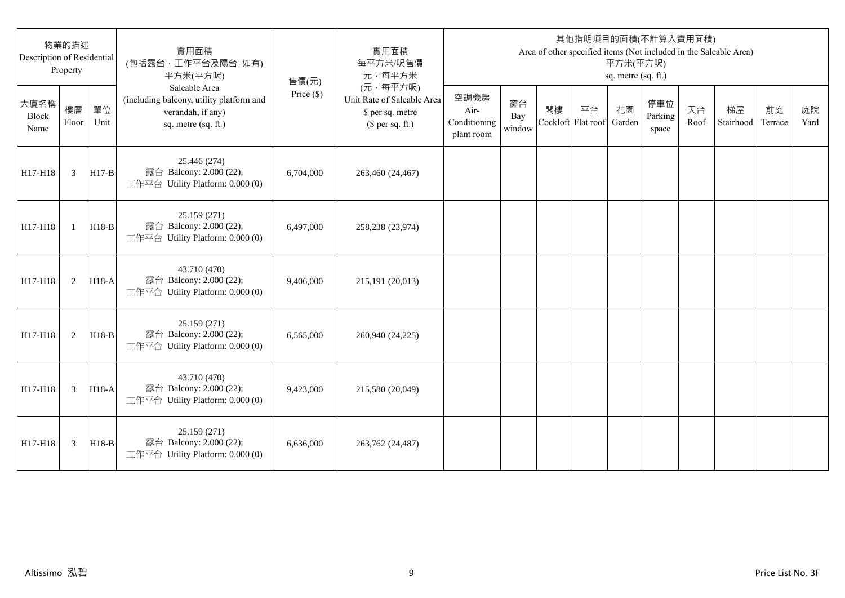| Description of Residential | 物業的描述<br>Property |            | 實用面積<br>(包括露台,工作平台及陽台 如有)<br>平方米(平方呎)                                                                 | 售價(元)        | 實用面積<br>每平方米/呎售價<br>元·每平方米                                                     |                                            |                     |                          |    | 平方米(平方呎)<br>sq. metre (sq. ft.) | 其他指明項目的面積(不計算入實用面積)     |            | Area of other specified items (Not included in the Saleable Area) |               |            |
|----------------------------|-------------------|------------|-------------------------------------------------------------------------------------------------------|--------------|--------------------------------------------------------------------------------|--------------------------------------------|---------------------|--------------------------|----|---------------------------------|-------------------------|------------|-------------------------------------------------------------------|---------------|------------|
| 大廈名稱<br>Block<br>Name      | 樓層<br>Floor       | 單位<br>Unit | Saleable Area<br>(including balcony, utility platform and<br>verandah, if any)<br>sq. metre (sq. ft.) | Price $(\$)$ | (元·每平方呎)<br>Unit Rate of Saleable Area<br>\$ per sq. metre<br>$$$ per sq. ft.) | 空調機房<br>Air-<br>Conditioning<br>plant room | 窗台<br>Bay<br>window | 閣樓<br>Cockloft Flat roof | 平台 | 花園<br>Garden                    | 停車位<br>Parking<br>space | 天台<br>Roof | 梯屋<br>Stairhood                                                   | 前庭<br>Terrace | 庭院<br>Yard |
| H17-H18                    | $\mathfrak{Z}$    | $H17-B$    | 25.446 (274)<br>露台 Balcony: 2.000 (22);<br>工作平台 Utility Platform: 0.000 (0)                           | 6,704,000    | 263,460 (24,467)                                                               |                                            |                     |                          |    |                                 |                         |            |                                                                   |               |            |
| H17-H18                    | $\mathbf{1}$      | $H18-B$    | 25.159 (271)<br>露台 Balcony: 2.000 (22);<br>工作平台 Utility Platform: 0.000 (0)                           | 6,497,000    | 258,238 (23,974)                                                               |                                            |                     |                          |    |                                 |                         |            |                                                                   |               |            |
| H17-H18                    | 2                 | H18-A      | 43.710 (470)<br>露台 Balcony: 2.000 (22);<br>工作平台 Utility Platform: 0.000 (0)                           | 9.406.000    | 215,191 (20,013)                                                               |                                            |                     |                          |    |                                 |                         |            |                                                                   |               |            |
| H17-H18                    | 2                 | $H18-B$    | 25.159 (271)<br>露台 Balcony: 2.000 (22);<br>工作平台 Utility Platform: 0.000 (0)                           | 6,565,000    | 260,940 (24,225)                                                               |                                            |                     |                          |    |                                 |                         |            |                                                                   |               |            |
| H17-H18                    | 3                 | $H18-A$    | 43.710 (470)<br>露台 Balcony: 2.000 (22);<br>工作平台 Utility Platform: 0.000 (0)                           | 9,423,000    | 215,580 (20,049)                                                               |                                            |                     |                          |    |                                 |                         |            |                                                                   |               |            |
| H17-H18                    | 3                 | $H18-B$    | 25.159 (271)<br>露台 Balcony: 2.000 (22);<br>工作平台 Utility Platform: 0.000 (0)                           | 6,636,000    | 263,762 (24,487)                                                               |                                            |                     |                          |    |                                 |                         |            |                                                                   |               |            |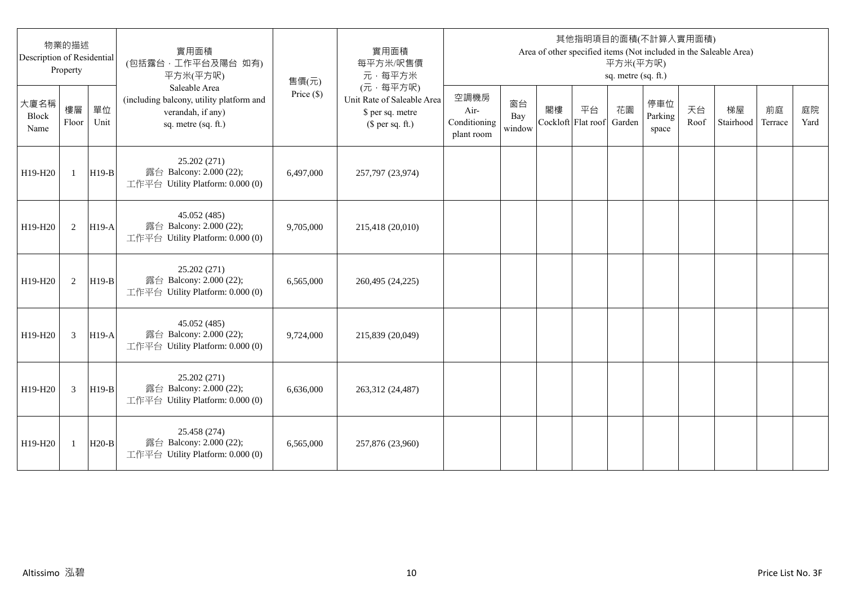| Description of Residential | 物業的描述<br>Property |            | 實用面積<br>(包括露台,工作平台及陽台 如有)<br>平方米(平方呎)                                                                 | 售價(元)        | 實用面積<br>每平方米/呎售價<br>元·每平方米                                                     |                                            |                     |    |                          | 平方米(平方呎)<br>sq. metre (sq. ft.) | 其他指明項目的面積(不計算入實用面積)     |            | Area of other specified items (Not included in the Saleable Area) |               |            |
|----------------------------|-------------------|------------|-------------------------------------------------------------------------------------------------------|--------------|--------------------------------------------------------------------------------|--------------------------------------------|---------------------|----|--------------------------|---------------------------------|-------------------------|------------|-------------------------------------------------------------------|---------------|------------|
| 大廈名稱<br>Block<br>Name      | 樓層<br>Floor       | 單位<br>Unit | Saleable Area<br>(including balcony, utility platform and<br>verandah, if any)<br>sq. metre (sq. ft.) | Price $(\$)$ | (元·每平方呎)<br>Unit Rate of Saleable Area<br>\$ per sq. metre<br>$$$ per sq. ft.) | 空調機房<br>Air-<br>Conditioning<br>plant room | 窗台<br>Bay<br>window | 閣樓 | 平台<br>Cockloft Flat roof | 花園<br>Garden                    | 停車位<br>Parking<br>space | 天台<br>Roof | 梯屋<br>Stairhood                                                   | 前庭<br>Terrace | 庭院<br>Yard |
| H19-H20                    | $\mathbf{1}$      | $H19-B$    | 25.202 (271)<br>露台 Balcony: 2.000 (22);<br>工作平台 Utility Platform: 0.000 (0)                           | 6,497,000    | 257,797 (23,974)                                                               |                                            |                     |    |                          |                                 |                         |            |                                                                   |               |            |
| H19-H20                    | 2                 | $H19-A$    | 45.052 (485)<br>露台 Balcony: 2.000 (22);<br>工作平台 Utility Platform: 0.000 (0)                           | 9,705,000    | 215,418 (20,010)                                                               |                                            |                     |    |                          |                                 |                         |            |                                                                   |               |            |
| H19-H20                    | 2                 | $H19-B$    | 25.202 (271)<br>露台 Balcony: 2.000 (22);<br>工作平台 Utility Platform: 0.000 (0)                           | 6.565.000    | 260,495 (24,225)                                                               |                                            |                     |    |                          |                                 |                         |            |                                                                   |               |            |
| H19-H20                    | 3                 | $H19-A$    | 45.052 (485)<br>露台 Balcony: 2.000 (22);<br>工作平台 Utility Platform: 0.000 (0)                           | 9,724,000    | 215,839 (20,049)                                                               |                                            |                     |    |                          |                                 |                         |            |                                                                   |               |            |
| H19-H20                    | 3                 | $H19-B$    | 25.202 (271)<br>露台 Balcony: 2.000 (22);<br>工作平台 Utility Platform: 0.000 (0)                           | 6,636,000    | 263,312 (24,487)                                                               |                                            |                     |    |                          |                                 |                         |            |                                                                   |               |            |
| H19-H20                    | 1                 | $H20-B$    | 25.458 (274)<br>露台 Balcony: 2.000 (22);<br>工作平台 Utility Platform: 0.000 (0)                           | 6,565,000    | 257,876 (23,960)                                                               |                                            |                     |    |                          |                                 |                         |            |                                                                   |               |            |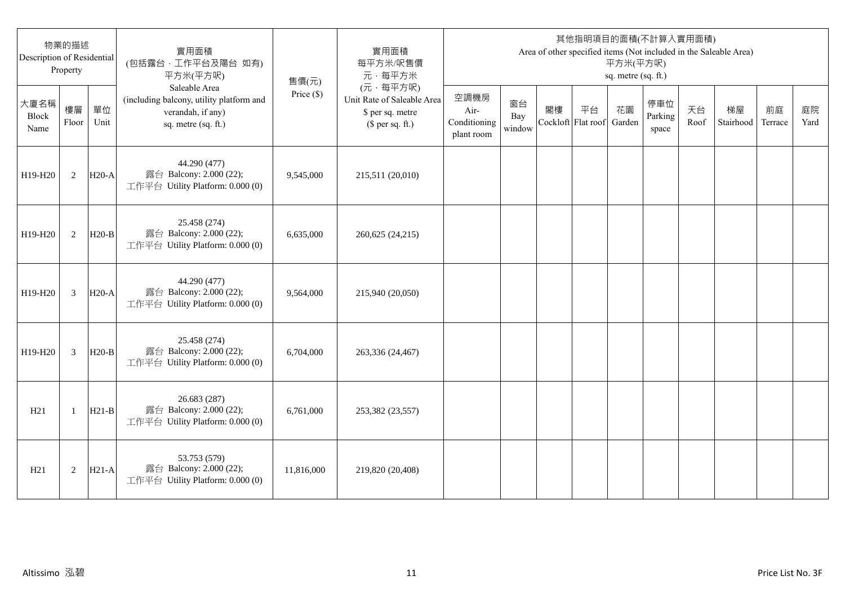| 物業的描述<br>Description of Residential<br>Property |                |            | 實用面積<br>(包括露台,工作平台及陽台 如有)<br>平方米(平方呎)                                                                 | 售價(元)        | 實用面積<br>每平方米/呎售價<br>元·每平方米                                                     | 其他指明項目的面積(不計算入實用面積)<br>Area of other specified items (Not included in the Saleable Area)<br>平方米(平方呎)<br>sq. metre (sq. ft.) |                     |                          |    |              |                         |            |                 |               |            |
|-------------------------------------------------|----------------|------------|-------------------------------------------------------------------------------------------------------|--------------|--------------------------------------------------------------------------------|-----------------------------------------------------------------------------------------------------------------------------|---------------------|--------------------------|----|--------------|-------------------------|------------|-----------------|---------------|------------|
| 大廈名稱<br>Block<br>Name                           | 樓層<br>Floor    | 單位<br>Unit | Saleable Area<br>(including balcony, utility platform and<br>verandah, if any)<br>sq. metre (sq. ft.) | Price $(\$)$ | (元·每平方呎)<br>Unit Rate of Saleable Area<br>\$ per sq. metre<br>$$$ per sq. ft.) | 空調機房<br>Air-<br>Conditioning<br>plant room                                                                                  | 窗台<br>Bay<br>window | 閣樓<br>Cockloft Flat roof | 平台 | 花園<br>Garden | 停車位<br>Parking<br>space | 天台<br>Roof | 梯屋<br>Stairhood | 前庭<br>Terrace | 庭院<br>Yard |
| H19-H20                                         | 2              | $H20-A$    | 44.290 (477)<br>露台 Balcony: 2.000 (22);<br>工作平台 Utility Platform: 0.000 (0)                           | 9,545,000    | 215,511 (20,010)                                                               |                                                                                                                             |                     |                          |    |              |                         |            |                 |               |            |
| H19-H20                                         | 2              | $H20-B$    | 25.458 (274)<br>露台 Balcony: 2.000 (22);<br>工作平台 Utility Platform: 0.000 (0)                           | 6,635,000    | 260,625 (24,215)                                                               |                                                                                                                             |                     |                          |    |              |                         |            |                 |               |            |
| H19-H20                                         | 3              | $H20-A$    | 44.290 (477)<br>露台 Balcony: 2.000 (22);<br>工作平台 Utility Platform: 0.000 (0)                           | 9,564,000    | 215,940 (20,050)                                                               |                                                                                                                             |                     |                          |    |              |                         |            |                 |               |            |
| H19-H20                                         | $\overline{3}$ | $H20-B$    | 25.458 (274)<br>露台 Balcony: 2.000 (22);<br>工作平台 Utility Platform: 0.000 (0)                           | 6,704,000    | 263,336 (24,467)                                                               |                                                                                                                             |                     |                          |    |              |                         |            |                 |               |            |
| H21                                             | $\mathbf{1}$   | $H21-B$    | 26.683 (287)<br>露台 Balcony: 2.000 (22);<br>工作平台 Utility Platform: 0.000 (0)                           | 6,761,000    | 253,382 (23,557)                                                               |                                                                                                                             |                     |                          |    |              |                         |            |                 |               |            |
| H21                                             | 2              | $H21-A$    | 53.753 (579)<br>露台 Balcony: 2.000 (22);<br>工作平台 Utility Platform: 0.000 (0)                           | 11,816,000   | 219,820 (20,408)                                                               |                                                                                                                             |                     |                          |    |              |                         |            |                 |               |            |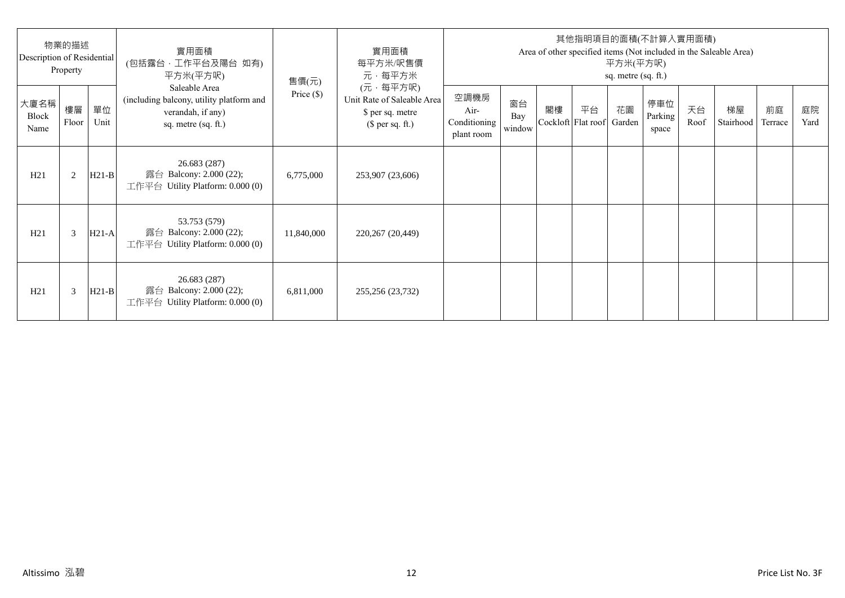| 物業的描述<br>Description of Residential<br>Property |             |            | 實用面積<br>(包括露台·工作平台及陽台 如有)<br>平方米(平方呎)                                                                 | 售價(元)        | 實用面積<br>每平方米/呎售價<br>元·每平方米                                                     | 其他指明項目的面積(不計算入實用面積)<br>Area of other specified items (Not included in the Saleable Area)<br>平方米(平方呎)<br>sq. metre (sq. ft.) |                     |    |                                 |    |                         |            |                 |               |            |
|-------------------------------------------------|-------------|------------|-------------------------------------------------------------------------------------------------------|--------------|--------------------------------------------------------------------------------|-----------------------------------------------------------------------------------------------------------------------------|---------------------|----|---------------------------------|----|-------------------------|------------|-----------------|---------------|------------|
| 大廈名稱<br>Block<br>Name                           | 樓層<br>Floor | 單位<br>Unit | Saleable Area<br>(including balcony, utility platform and<br>verandah, if any)<br>sq. metre (sq. ft.) | Price $(\$)$ | (元·每平方呎)<br>Unit Rate of Saleable Area<br>\$ per sq. metre<br>$$$ per sq. ft.) | 空調機房<br>Air-<br>Conditioning<br>plant room                                                                                  | 窗台<br>Bay<br>window | 閣樓 | 平台<br>Cockloft Flat roof Garden | 花園 | 停車位<br>Parking<br>space | 天台<br>Roof | 梯屋<br>Stairhood | 前庭<br>Terrace | 庭院<br>Yard |
| H21                                             | 2           | $H21-B$    | 26.683 (287)<br>露台 Balcony: 2.000 (22);<br>工作平台 Utility Platform: $0.000(0)$                          | 6,775,000    | 253,907 (23,606)                                                               |                                                                                                                             |                     |    |                                 |    |                         |            |                 |               |            |
| H21                                             | 3           | $H21-A$    | 53.753 (579)<br>露台 Balcony: 2.000 (22);<br>工作平台 Utility Platform: 0.000 (0)                           | 11,840,000   | 220,267 (20,449)                                                               |                                                                                                                             |                     |    |                                 |    |                         |            |                 |               |            |
| H21                                             | 3           | $H21-B$    | 26.683 (287)<br>露台 Balcony: 2.000 (22);<br>工作平台 Utility Platform: $0.000(0)$                          | 6,811,000    | 255,256 (23,732)                                                               |                                                                                                                             |                     |    |                                 |    |                         |            |                 |               |            |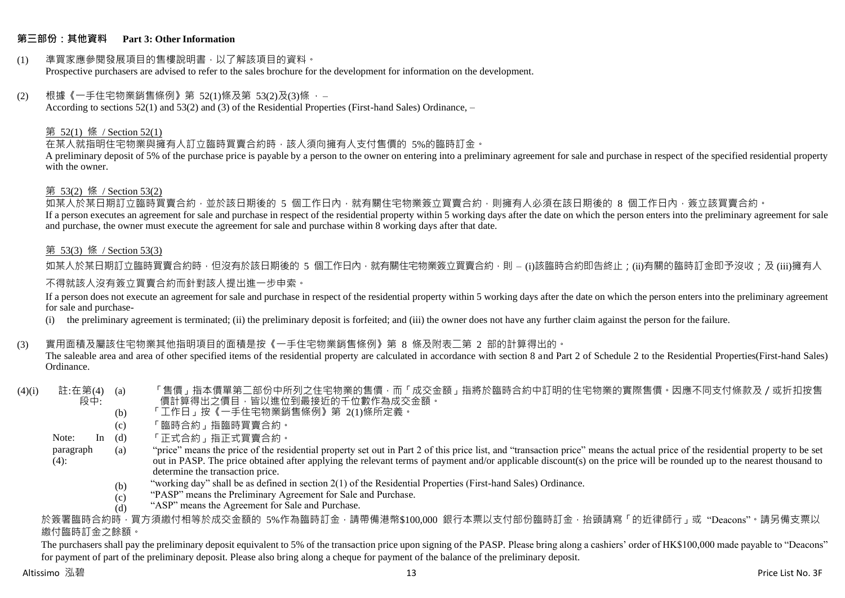### **第三部份:其他資料 Part 3: Other Information**

#### (1) 準買家應參閱發展項目的售樓說明書,以了解該項目的資料。 Prospective purchasers are advised to refer to the sales brochure for the development for information on the development.

#### $(2)$  根據《一手住宅物業銷售條例》第 52(1)條及第 53(2)及(3)條,

According to sections 52(1) and 53(2) and (3) of the Residential Properties (First-hand Sales) Ordinance, –

### 第 52(1) 條 / Section 52(1)

在某人就指明住宅物業與擁有人訂立臨時買賣合約時,該人須向擁有人支付售價的 5%的臨時訂金。

A preliminary deposit of 5% of the purchase price is payable by a person to the owner on entering into a preliminary agreement for sale and purchase in respect of the specified residential property with the owner.

#### 第 53(2) 條 / Section 53(2)

————————————————————<br>如某人於某日期訂立臨時買賣合約,並於該日期後的 5 個工作日內,就有關住宅物業簽立買賣合約,則擁有人必須在該日期後的 8 個工作日內,簽立該買賣合約。 If a person executes an agreement for sale and purchase in respect of the residential property within 5 working days after the date on which the person enters into the preliminary agreement for sale and purchase, the owner must execute the agreement for sale and purchase within 8 working days after that date.

# 第 53(3) 條 / Section 53(3)

如某人於某日期訂立臨時買賣合約時,但沒有於該日期後的 5 個工作日內,就有關住宅物業簽立買賣合約,則 – (i)該臨時合約即告終止;(ii)有關的臨時訂金即予沒收;及 (iii)擁有人

# 不得就該人沒有簽立買賣合約而針對該人提出進一步申索。

If a person does not execute an agreement for sale and purchase in respect of the residential property within 5 working days after the date on which the person enters into the preliminary agreement for sale and purchase-

(i) the preliminary agreement is terminated; (ii) the preliminary deposit is forfeited; and (iii) the owner does not have any further claim against the person for the failure.

# (3) 實用面積及屬該住宅物業其他指明項目的面積是按《一手住宅物業銷售條例》第 8 條及附表二第 2 部的計算得出的。

The saleable area and area of other specified items of the residential property are calculated in accordance with section 8 and Part 2 of Schedule 2 to the Residential Properties(First-hand Sales) Ordinance.

#### $(4)(i)$  註:在第 $(4)$   $(a)$ 段中: 「售價」指本價單第二部份中所列之住宅物業的售價,而「成交金額」指將於臨時合約中訂明的住宅物業的實際售價。因應不同支付條款及/或折扣按售 價計算得出之價目,皆以進位到最接近的千位數作為成交金額。

- (b) 「工作日」按《一手住宅物業銷售條例》第 2(1)條所定義。
- (c) 「臨時合約」指臨時買賣合約。
- Note:  $In (d)$ 「正式合約」指正式買賣合約。
- paragraph  $(4)$ : (a) "price" means the price of the residential property set out in Part 2 of this price list, and "transaction price" means the actual price of the residential property to be set out in PASP. The price obtained after applying the relevant terms of payment and/or applicable discount(s) on the price will be rounded up to the nearest thousand to determine the transaction price.
	- (b) "working day" shall be as defined in section 2(1) of the Residential Properties (First-hand Sales) Ordinance.
	- $(c)$ "PASP" means the Preliminary Agreement for Sale and Purchase.
	- (d) "ASP" means the Agreement for Sale and Purchase.

於簽署臨時合約時,買方須繳付相等於成交金額的 5%作為臨時訂金,請帶備港幣\$100,000 銀行本票以支付部份臨時訂金,抬頭請寫「的近律師行」或"Deacons"。請另備支票以 繳付臨時訂金之餘額。

The purchasers shall pay the preliminary deposit equivalent to 5% of the transaction price upon signing of the PASP. Please bring along a cashiers' order of HK\$100,000 made payable to "Deacons" for payment of part of the preliminary deposit. Please also bring along a cheque for payment of the balance of the preliminary deposit.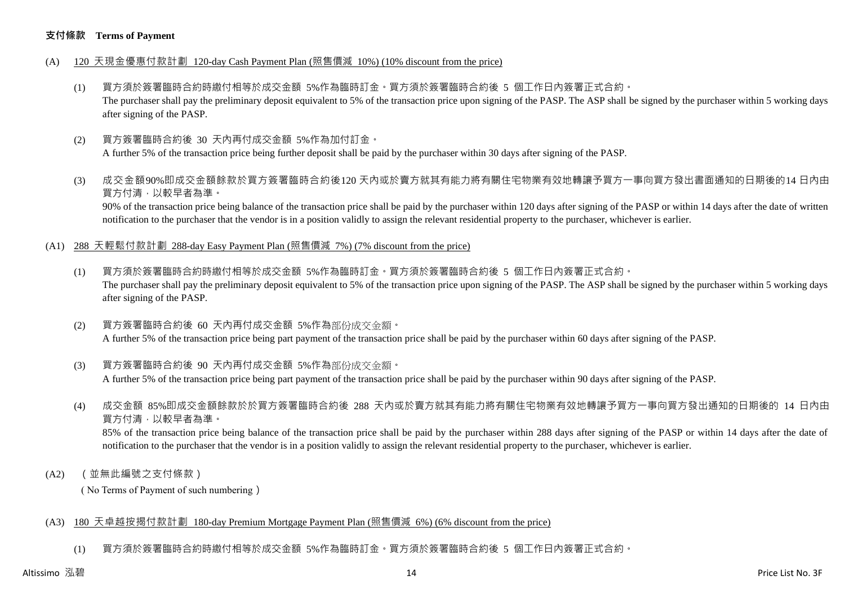### **支付條款 Terms of Payment**

- (A) 120 天現金優惠付款計劃 120-day Cash Payment Plan (照售價減 10%) (10% discount from the price)
	- (1) 買方須於簽署臨時合約時繳付相等於成交金額 5%作為臨時訂金。買方須於簽署臨時合約後 5 個工作日內簽署正式合約。 The purchaser shall pay the preliminary deposit equivalent to 5% of the transaction price upon signing of the PASP. The ASP shall be signed by the purchaser within 5 working days after signing of the PASP.
	- (2) 買方簽署臨時合約後 30 天內再付成交金額 5%作為加付訂金。 A further 5% of the transaction price being further deposit shall be paid by the purchaser within 30 days after signing of the PASP.
	- (3) 成交金額90%即成交金額餘款於買方簽署臨時合約後120 天內或於賣方就其有能力將有關住宅物業有效地轉讓予買方一事向買方發出書面通知的日期後的14 日內由 買方付清,以較早者為準。

90% of the transaction price being balance of the transaction price shall be paid by the purchaser within 120 days after signing of the PASP or within 14 days after the date of written notification to the purchaser that the vendor is in a position validly to assign the relevant residential property to the purchaser, whichever is earlier.

- (A1) 288 天輕鬆付款計劃 288-day Easy Payment Plan (照售價減 7%) (7% discount from the price)
	- (1) 買方須於簽署臨時合約時繳付相等於成交金額 5%作為臨時訂金。買方須於簽署臨時合約後 5 個工作日內簽署正式合約。 The purchaser shall pay the preliminary deposit equivalent to 5% of the transaction price upon signing of the PASP. The ASP shall be signed by the purchaser within 5 working days after signing of the PASP.
	- (2) 買方簽署臨時合約後 60 天內再付成交金額 5%作為部份成交金額。 A further 5% of the transaction price being part payment of the transaction price shall be paid by the purchaser within 60 days after signing of the PASP.
	- (3) 買方簽署臨時合約後 90 天內再付成交金額 5%作為部份成交金額。

A further 5% of the transaction price being part payment of the transaction price shall be paid by the purchaser within 90 days after signing of the PASP.

(4) 成交金額 85%即成交金額餘款於於買方簽署臨時合約後 288 天內或於賣方就其有能力將有關住宅物業有效地轉讓予買方一事向買方發出通知的日期後的 14 日內由 買方付清,以較早者為準。

85% of the transaction price being balance of the transaction price shall be paid by the purchaser within 288 days after signing of the PASP or within 14 days after the date of notification to the purchaser that the vendor is in a position validly to assign the relevant residential property to the purchaser, whichever is earlier.

(A2) (並無此編號之支付條款)

( No Terms of Payment of such numbering)

# (A3) 180 天卓越按揭付款計劃 180-day Premium Mortgage Payment Plan (照售價減 6%) (6% discount from the price)

(1) 買方須於簽署臨時合約時繳付相等於成交金額 5%作為臨時訂金。買方須於簽署臨時合約後 5 個工作日內簽署正式合約。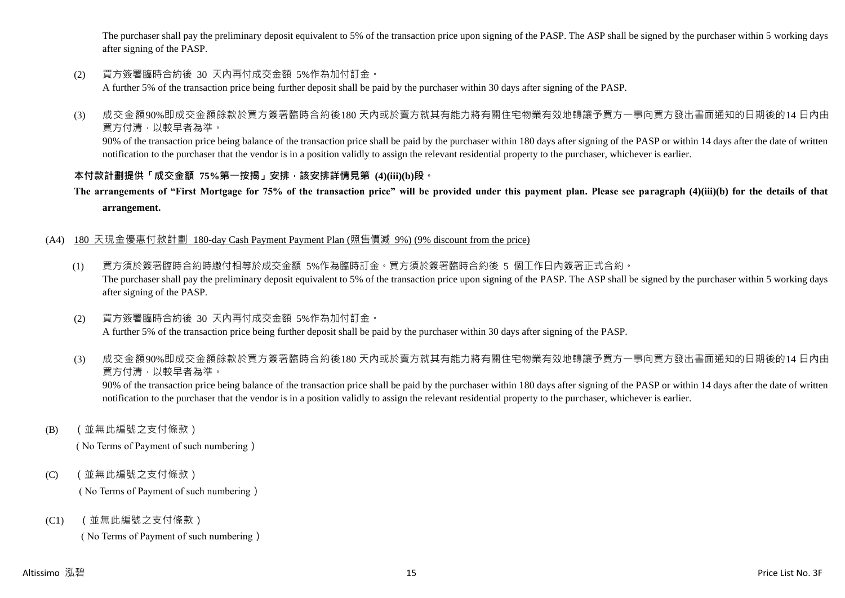The purchaser shall pay the preliminary deposit equivalent to 5% of the transaction price upon signing of the PASP. The ASP shall be signed by the purchaser within 5 working days after signing of the PASP.

(2) 買方簽署臨時合約後 30 天內再付成交金額 5%作為加付訂金。

A further 5% of the transaction price being further deposit shall be paid by the purchaser within 30 days after signing of the PASP.

(3) 成交金額90%即成交金額餘款於買方簽署臨時合約後180 天內或於賣方就其有能力將有關住宅物業有效地轉讓予買方一事向買方發出書面通知的日期後的14 日內由 買方付清,以較早者為準。

90% of the transaction price being balance of the transaction price shall be paid by the purchaser within 180 days after signing of the PASP or within 14 days after the date of written notification to the purchaser that the vendor is in a position validly to assign the relevant residential property to the purchaser, whichever is earlier.

# **本付款計劃提供「成交金額 75%第一按揭」安排,該安排詳情見第 (4)(iii)(b)段。**

**The arrangements of "First Mortgage for 75% of the transaction price" will be provided under this payment plan. Please see paragraph (4)(iii)(b) for the details of that arrangement.**

# (A4) 180 天現金優惠付款計劃 180-day Cash Payment Payment Plan (照售價減 9%) (9% discount from the price)

- (1) 買方須於簽署臨時合約時繳付相等於成交金額 5%作為臨時訂金。買方須於簽署臨時合約後 5 個工作日內簽署正式合約。 The purchaser shall pay the preliminary deposit equivalent to 5% of the transaction price upon signing of the PASP. The ASP shall be signed by the purchaser within 5 working days after signing of the PASP.
- (2) 買方簽署臨時合約後 30 天內再付成交金額 5%作為加付訂金。 A further 5% of the transaction price being further deposit shall be paid by the purchaser within 30 days after signing of the PASP.
- (3) 成交金額90%即成交金額餘款於買方簽署臨時合約後180 天內或於賣方就其有能力將有關住宅物業有效地轉讓予買方一事向買方發出書面通知的日期後的14 日內由 買方付清,以較早者為準。

90% of the transaction price being balance of the transaction price shall be paid by the purchaser within 180 days after signing of the PASP or within 14 days after the date of written notification to the purchaser that the vendor is in a position validly to assign the relevant residential property to the purchaser, whichever is earlier.

(B) (並無此編號之支付條款)

( No Terms of Payment of such numbering)

(C) (並無此編號之支付條款)

( No Terms of Payment of such numbering)

(C1) (並無此編號之支付條款)

( No Terms of Payment of such numbering)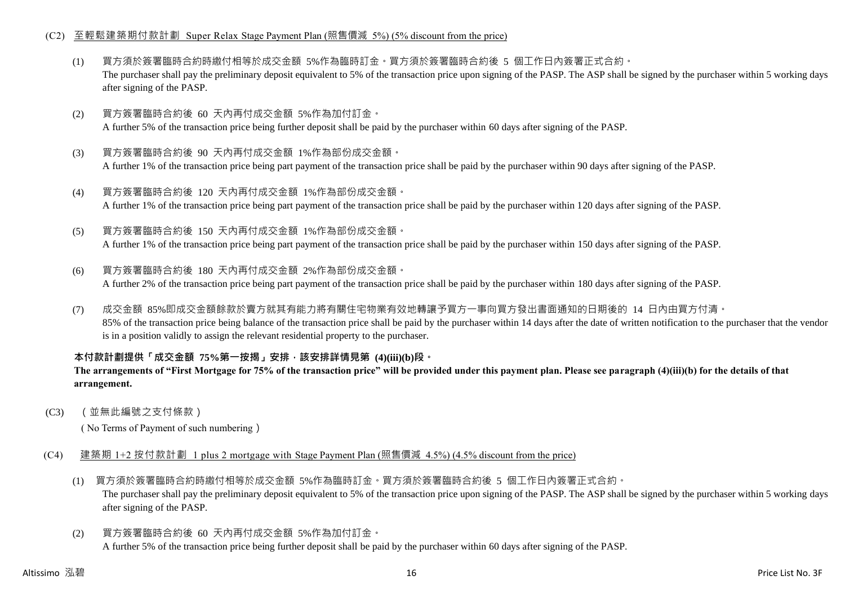# (C2) 至輕鬆建築期付款計劃 Super Relax Stage Payment Plan (照售價減 5%) (5% discount from the price)

- (1) 買方須於簽署臨時合約時繳付相等於成交金額 5%作為臨時訂金。買方須於簽署臨時合約後 5 個工作日內簽署正式合約。 The purchaser shall pay the preliminary deposit equivalent to 5% of the transaction price upon signing of the PASP. The ASP shall be signed by the purchaser within 5 working days after signing of the PASP.
- (2) 買方簽署臨時合約後 60 天內再付成交金額 5%作為加付訂金。 A further 5% of the transaction price being further deposit shall be paid by the purchaser within 60 days after signing of the PASP.
- (3) 買方簽署臨時合約後 90 天內再付成交金額 1%作為部份成交金額。 A further 1% of the transaction price being part payment of the transaction price shall be paid by the purchaser within 90 days after signing of the PASP.
- (4) 買方簽署臨時合約後 120 天內再付成交金額 1%作為部份成交金額。 A further 1% of the transaction price being part payment of the transaction price shall be paid by the purchaser within 120 days after signing of the PASP.
- (5) 買方簽署臨時合約後 150 天內再付成交金額 1%作為部份成交金額。

A further 1% of the transaction price being part payment of the transaction price shall be paid by the purchaser within 150 days after signing of the PASP.

- (6) 買方簽署臨時合約後 180 天內再付成交金額 2%作為部份成交金額。 A further 2% of the transaction price being part payment of the transaction price shall be paid by the purchaser within 180 days after signing of the PASP.
- (7) 成交金額 85%即成交金額餘款於賣方就其有能力將有關住宅物業有效地轉讓予買方一事向買方發出書面通知的日期後的 14 日內由買方付清。 85% of the transaction price being balance of the transaction price shall be paid by the purchaser within 14 days after the date of written notification to the purchaser that the vendor is in a position validly to assign the relevant residential property to the purchaser.

# **本付款計劃提供「成交金額 75%第一按揭」安排,該安排詳情見第 (4)(iii)(b)段。**

# **The arrangements of "First Mortgage for 75% of the transaction price" will be provided under this payment plan. Please see paragraph (4)(iii)(b) for the details of that arrangement.**

(C3) (並無此編號之支付條款)

( No Terms of Payment of such numbering)

- (C4) 建築期 1+2 按付款計劃 1 plus 2 mortgage with Stage Payment Plan (照售價減 4.5%) (4.5% discount from the price)
	- (1) 買方須於簽署臨時合約時繳付相等於成交金額 5%作為臨時訂金。買方須於簽署臨時合約後 5 個工作日內簽署正式合約。 The purchaser shall pay the preliminary deposit equivalent to 5% of the transaction price upon signing of the PASP. The ASP shall be signed by the purchaser within 5 working days after signing of the PASP.
	- (2) 買方簽署臨時合約後 60 天內再付成交金額 5%作為加付訂金。 A further 5% of the transaction price being further deposit shall be paid by the purchaser within 60 days after signing of the PASP.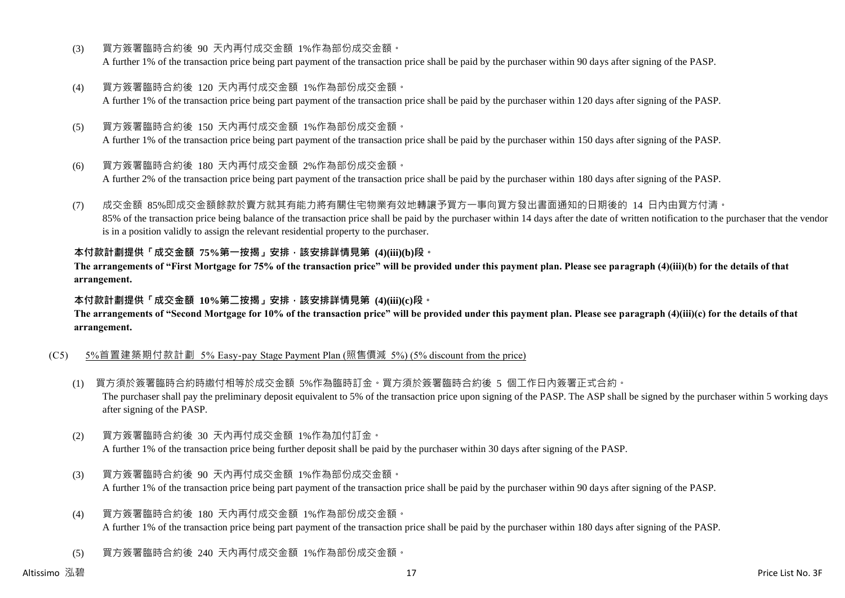- (3) 買方簽署臨時合約後 90 天內再付成交金額 1%作為部份成交金額。 A further 1% of the transaction price being part payment of the transaction price shall be paid by the purchaser within 90 days after signing of the PASP.
- (4) 買方簽署臨時合約後 120 天內再付成交金額 1%作為部份成交金額。 A further 1% of the transaction price being part payment of the transaction price shall be paid by the purchaser within 120 days after signing of the PASP.
- (5) 買方簽署臨時合約後 150 天內再付成交金額 1%作為部份成交金額。 A further 1% of the transaction price being part payment of the transaction price shall be paid by the purchaser within 150 days after signing of the PASP.
- (6) 買方簽署臨時合約後 180 天內再付成交金額 2%作為部份成交金額。

A further 2% of the transaction price being part payment of the transaction price shall be paid by the purchaser within 180 days after signing of the PASP.

(7) 成交金額 85%即成交金額餘款於賣方就其有能力將有關住宅物業有效地轉讓予買方一事向買方發出書面通知的日期後的 14 日內由買方付清。 85% of the transaction price being balance of the transaction price shall be paid by the purchaser within 14 days after the date of written notification to the purchaser that the vendor is in a position validly to assign the relevant residential property to the purchaser.

# **本付款計劃提供「成交金額 75%第一按揭」安排,該安排詳情見第 (4)(iii)(b)段。**

**The arrangements of "First Mortgage for 75% of the transaction price" will be provided under this payment plan. Please see paragraph (4)(iii)(b) for the details of that arrangement.**

#### **本付款計劃提供「成交金額 10%第二按揭」安排,該安排詳情見第 (4)(iii)(c)段。**

**The arrangements of "Second Mortgage for 10% of the transaction price" will be provided under this payment plan. Please see paragraph (4)(iii)(c) for the details of that arrangement.**

# (C5) 5%首置建築期付款計劃 5% Easy-pay Stage Payment Plan (照售價減 5%) (5% discount from the price)

- (1) 買方須於簽署臨時合約時繳付相等於成交金額 5%作為臨時訂金。買方須於簽署臨時合約後 5 個工作日內簽署正式合約。 The purchaser shall pay the preliminary deposit equivalent to 5% of the transaction price upon signing of the PASP. The ASP shall be signed by the purchaser within 5 working days after signing of the PASP.
- (2) 買方簽署臨時合約後 30 天內再付成交金額 1%作為加付訂金。 A further 1% of the transaction price being further deposit shall be paid by the purchaser within 30 days after signing of the PASP.
- (3) 買方簽署臨時合約後 90 天內再付成交金額 1%作為部份成交金額。 A further 1% of the transaction price being part payment of the transaction price shall be paid by the purchaser within 90 days after signing of the PASP.
- (4) 買方簽署臨時合約後 180 天內再付成交金額 1%作為部份成交金額。 A further 1% of the transaction price being part payment of the transaction price shall be paid by the purchaser within 180 days after signing of the PASP.
- (5) 買方簽署臨時合約後 240 天內再付成交金額 1%作為部份成交金額。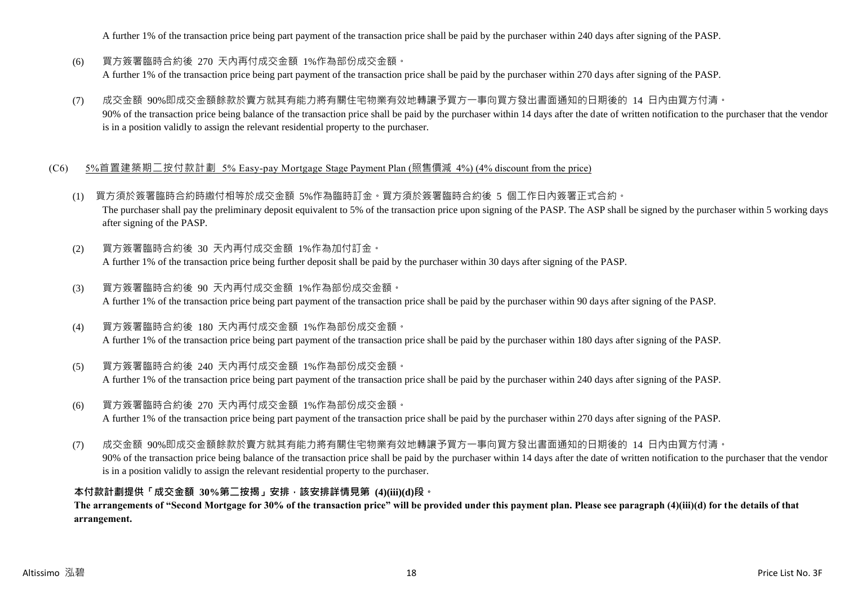A further 1% of the transaction price being part payment of the transaction price shall be paid by the purchaser within 240 days after signing of the PASP.

- (6) 買方簽署臨時合約後 270 天內再付成交金額 1%作為部份成交金額。 A further 1% of the transaction price being part payment of the transaction price shall be paid by the purchaser within 270 days after signing of the PASP.
- (7) 成交金額 90%即成交金額餘款於賣方就其有能力將有關住宅物業有效地轉讓予買方一事向買方發出書面通知的日期後的 14 日內由買方付清。 90% of the transaction price being balance of the transaction price shall be paid by the purchaser within 14 days after the date of written notification to the purchaser that the vendor is in a position validly to assign the relevant residential property to the purchaser.

# (C6) 5%首置建築期二按付款計劃 5% Easy-pay Mortgage Stage Payment Plan (照售價減 4%) (4% discount from the price)

- (1) 買方須於簽署臨時合約時繳付相等於成交金額 5%作為臨時訂金。買方須於簽署臨時合約後 5 個工作日內簽署正式合約。 The purchaser shall pay the preliminary deposit equivalent to 5% of the transaction price upon signing of the PASP. The ASP shall be signed by the purchaser within 5 working days after signing of the PASP.
- (2) 買方簽署臨時合約後 30 天內再付成交金額 1%作為加付訂金。 A further 1% of the transaction price being further deposit shall be paid by the purchaser within 30 days after signing of the PASP.
- (3) 買方簽署臨時合約後 90 天內再付成交金額 1%作為部份成交金額。 A further 1% of the transaction price being part payment of the transaction price shall be paid by the purchaser within 90 days after signing of the PASP.
- (4) 買方簽署臨時合約後 180 天內再付成交金額 1%作為部份成交金額。 A further 1% of the transaction price being part payment of the transaction price shall be paid by the purchaser within 180 days after signing of the PASP.
- (5) 買方簽署臨時合約後 240 天內再付成交金額 1%作為部份成交金額。 A further 1% of the transaction price being part payment of the transaction price shall be paid by the purchaser within 240 days after signing of the PASP.
- (6) 買方簽署臨時合約後 270 天內再付成交金額 1%作為部份成交金額。 A further 1% of the transaction price being part payment of the transaction price shall be paid by the purchaser within 270 days after signing of the PASP.
- (7) 成交金額 90%即成交金額餘款於賣方就其有能力將有關住宅物業有效地轉讓予買方一事向買方發出書面通知的日期後的 14 日內由買方付清。 90% of the transaction price being balance of the transaction price shall be paid by the purchaser within 14 days after the date of written notification to the purchaser that the vendor is in a position validly to assign the relevant residential property to the purchaser.

# **本付款計劃提供「成交金額 30%第二按揭」安排,該安排詳情見第 (4)(iii)(d)段。**

**The arrangements of "Second Mortgage for 30% of the transaction price" will be provided under this payment plan. Please see paragraph (4)(iii)(d) for the details of that arrangement.**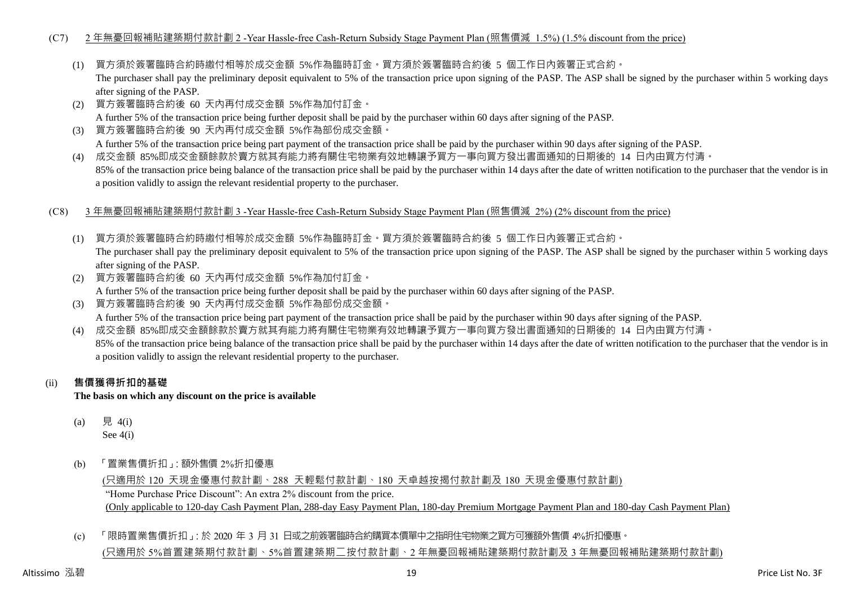# (C7) 2 年無憂回報補貼建築期付款計劃 2 -Year Hassle-free Cash-Return Subsidy Stage Payment Plan (照售價減 1.5%) (1.5% discount from the price)

(1) 買方須於簽署臨時合約時繳付相等於成交金額 5%作為臨時訂金。買方須於簽署臨時合約後 5 個工作日內簽署正式合約。

The purchaser shall pay the preliminary deposit equivalent to 5% of the transaction price upon signing of the PASP. The ASP shall be signed by the purchaser within 5 working days after signing of the PASP.

- (2) 買方簽署臨時合約後 60 天內再付成交金額 5%作為加付訂金。 A further 5% of the transaction price being further deposit shall be paid by the purchaser within 60 days after signing of the PASP.
- (3) 買方簽署臨時合約後 90 天內再付成交金額 5%作為部份成交金額。 A further 5% of the transaction price being part payment of the transaction price shall be paid by the purchaser within 90 days after signing of the PASP.
- (4) 成交金額 85%即成交金額餘款於賣方就其有能力將有關住宅物業有效地轉讓予買方一事向買方發出書面通知的日期後的 14 日內由買方付清。 85% of the transaction price being balance of the transaction price shall be paid by the purchaser within 14 days after the date of written notification to the purchaser that the vendor is in a position validly to assign the relevant residential property to the purchaser.
- (C8) 3 年無憂回報補貼建築期付款計劃 3 -Year Hassle-free Cash-Return Subsidy Stage Payment Plan (照售價減 2%) (2% discount from the price)
	- (1) 買方須於簽署臨時合約時繳付相等於成交金額 5%作為臨時訂金。買方須於簽署臨時合約後 5 個工作日內簽署正式合約。 The purchaser shall pay the preliminary deposit equivalent to 5% of the transaction price upon signing of the PASP. The ASP shall be signed by the purchaser within 5 working days after signing of the PASP.
	- (2) 買方簽署臨時合約後 60 天內再付成交金額 5%作為加付訂金。 A further 5% of the transaction price being further deposit shall be paid by the purchaser within 60 days after signing of the PASP.
	- (3) 買方簽署臨時合約後 90 天內再付成交金額 5%作為部份成交金額。 A further 5% of the transaction price being part payment of the transaction price shall be paid by the purchaser within 90 days after signing of the PASP.
	- (4) 成交金額 85%即成交金額餘款於賣方就其有能力將有關住宅物業有效地轉讓予買方一事向買方發出書面通知的日期後的 14 日內由買方付清。 85% of the transaction price being balance of the transaction price shall be paid by the purchaser within 14 days after the date of written notification to the purchaser that the vendor is in a position validly to assign the relevant residential property to the purchaser.

# (ii) **售價獲得折扣的基礎**

**The basis on which any discount on the price is available**

- (a) 見 4(i) See 4(i)
- (b) 「置業售價折扣」:額外售價 2%折扣優惠

(只適用於 120 天現金優惠付款計劃、288 天輕鬆付款計劃、180 天卓越按揭付款計劃及 180 天現金優惠付款計劃) "Home Purchase Price Discount": An extra 2% discount from the price. (Only applicable to 120-day Cash Payment Plan, 288-day Easy Payment Plan, 180-day Premium Mortgage Payment Plan and 180-day Cash Payment Plan)

(c) 「限時置業售價折扣」:於 2020 年 3 月 31 日或之前簽署臨時合約購買本價單中之指明住宅物業之買方可獲額外售價 4%折扣優惠。 (只適用於 5%首置建築期付款計劃、5%首置建築期二按付款計劃、2 年無憂回報補貼建築期付款計劃及 3 年無憂回報補貼建築期付款計劃)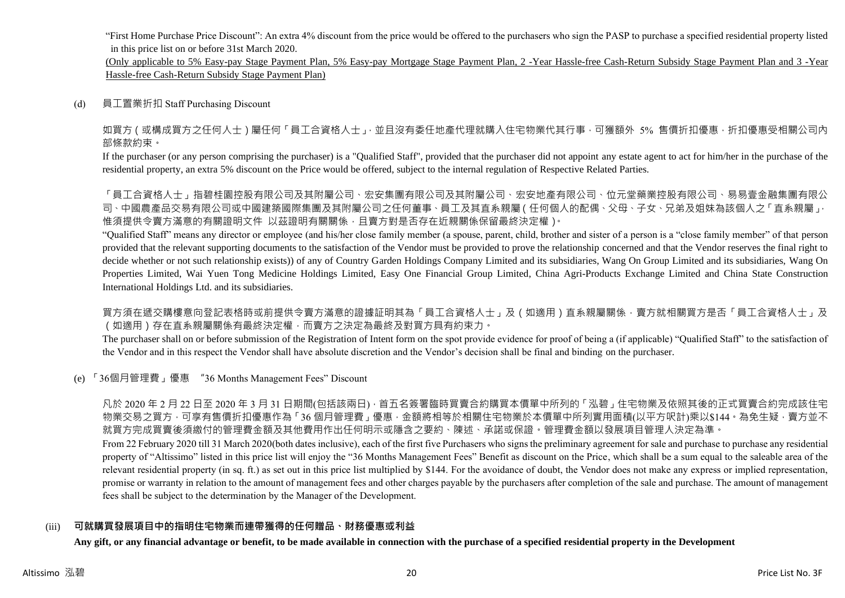"First Home Purchase Price Discount": An extra 4% discount from the price would be offered to the purchasers who sign the PASP to purchase a specified residential property listed in this price list on or before 31st March 2020.

(Only applicable to 5% Easy-pay Stage Payment Plan, 5% Easy-pay Mortgage Stage Payment Plan, 2 -Year Hassle-free Cash-Return Subsidy Stage Payment Plan and 3 -Year Hassle-free Cash-Return Subsidy Stage Payment Plan)

#### (d) 員工置業折扣 Staff Purchasing Discount

如買方(或構成買方之任何人士)屬任何「員工合資格人士」,並且沒有委任地產代理就購入住宅物業代其行事,可獲額外 5% 售價折扣優惠,折扣優惠受相關公司內 部條款約束。

If the purchaser (or any person comprising the purchaser) is a "Qualified Staff", provided that the purchaser did not appoint any estate agent to act for him/her in the purchase of the residential property, an extra 5% discount on the Price would be offered, subject to the internal regulation of Respective Related Parties.

「員工合資格人士」指碧桂園控股有限公司及其附屬公司、宏安集團有限公司及其附屬公司、宏安地產有限公司、位元堂藥業控股有限公司、易易壹金融集團有限公 司、中國農產品交易有限公司或中國建築國際集團及其附屬公司之任何董事、員工及其直系親屬(任何個人的配偶、父母、子女、兄弟及姐妹為該個人之「直系親屬」, 惟須提供令賣方滿意的有關證明文件 以茲證明有關關係,且賣方對是否存在近親關係保留最終決定權)。

"Qualified Staff" means any director or employee (and his/her close family member (a spouse, parent, child, brother and sister of a person is a "close family member" of that person provided that the relevant supporting documents to the satisfaction of the Vendor must be provided to prove the relationship concerned and that the Vendor reserves the final right to decide whether or not such relationship exists)) of any of Country Garden Holdings Company Limited and its subsidiaries, Wang On Group Limited and its subsidiaries, Wang On Properties Limited, Wai Yuen Tong Medicine Holdings Limited, Easy One Financial Group Limited, China Agri-Products Exchange Limited and China State Construction International Holdings Ltd. and its subsidiaries.

買方須在遞交購樓意向登記表格時或前提供令賣方滿意的證據証明其為「員工合資格人士」及(如適用)直系親屬關係,賣方就相關買方是否「員工合資格人士」及 (如適用)存在直系親屬關係有最終決定權,而賣方之決定為最終及對買方具有約束力。

The purchaser shall on or before submission of the Registration of Intent form on the spot provide evidence for proof of being a (if applicable) "Qualified Staff" to the satisfaction of the Vendor and in this respect the Vendor shall have absolute discretion and the Vendor's decision shall be final and binding on the purchaser.

(e) 「36個月管理費」優惠 "36 Months Management Fees" Discount

凡於 2020 年 2 月 22 日至 2020 年 3 月 31 日期間(包括該兩日) · 首五名簽署臨時買賣合約購買本價單中所列的「泓碧」住宅物業及依照其後的正式買賣合約完成該住宅 物業交易之買方,可享有售價折扣優惠作為「36 個月管理費」優惠,金額將相等於相關住宅物業於本價單中所列實用面積(以平方呎計)乘以\$144。為免生疑,賣方並不 就買方完成買賣後須繳付的管理費金額及其他費用作出任何明示或隱含之要約、陳述、承諾或保證。管理費金額以發展項目管理人決定為準。

From 22 February 2020 till 31 March 2020(both dates inclusive), each of the first five Purchasers who signs the preliminary agreement for sale and purchase to purchase any residential property of "Altissimo" listed in this price list will enjoy the "36 Months Management Fees" Benefit as discount on the Price, which shall be a sum equal to the saleable area of the relevant residential property (in sq. ft.) as set out in this price list multiplied by \$144. For the avoidance of doubt, the Vendor does not make any express or implied representation, promise or warranty in relation to the amount of management fees and other charges payable by the purchasers after completion of the sale and purchase. The amount of management fees shall be subject to the determination by the Manager of the Development.

# (iii) **可就購買發展項目中的指明住宅物業而連帶獲得的任何贈品、財務優惠或利益**

**Any gift, or any financial advantage or benefit, to be made available in connection with the purchase of a specified residential property in the Development**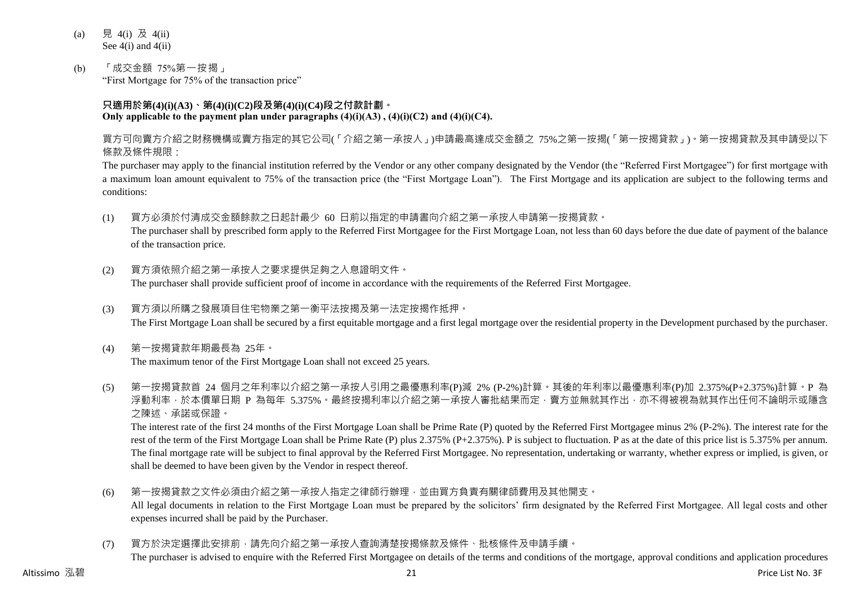- (a) 見 4(i) 及 4(ii) See 4(i) and 4(ii)
- (b) 「成交金額 75%第一按揭」 "First Mortgage for 75% of the transaction price"

# **只適用於第(4)(i)(A3)、第(4)(i)(C2)段及第(4)(i)(C4)段之付款計劃。 Only applicable to the payment plan under paragraphs (4)(i)(A3) , (4)(i)(C2) and (4)(i)(C4).**

買方可向賣方介紹之財務機構或賣方指定的其它公司(「介紹之第一承按人」)申請最高達成交金額之 75%之第一按揭(「第一按揭貸款」)。第一按揭貸款及其申請受以下 條款及條件規限:

The purchaser may apply to the financial institution referred by the Vendor or any other company designated by the Vendor (the "Referred First Mortgagee") for first mortgage with a maximum loan amount equivalent to 75% of the transaction price (the "First Mortgage Loan"). The First Mortgage and its application are subject to the following terms and conditions:

(1) 買方必須於付清成交金額餘款之日起計最少 60 日前以指定的申請書向介紹之第一承按人申請第一按揭貸款。

The purchaser shall by prescribed form apply to the Referred First Mortgagee for the First Mortgage Loan, not less than 60 days before the due date of payment of the balance of the transaction price.

(2) 買方須依照介紹之第一承按人之要求提供足夠之入息證明文件。

The purchaser shall provide sufficient proof of income in accordance with the requirements of the Referred First Mortgagee.

- (3) 買方須以所購之發展項目住宅物業之第一衡平法按揭及第一法定按揭作抵押。 The First Mortgage Loan shall be secured by a first equitable mortgage and a first legal mortgage over the residential property in the Development purchased by the purchaser.
- (4) 第一按揭貸款年期最長為 25年。

The maximum tenor of the First Mortgage Loan shall not exceed 25 years.

(5) 第一按揭貸款首 24 個月之年利率以介紹之第一承按人引用之最優惠利率(P)減 2% (P-2%)計算。其後的年利率以最優惠利率(P)加 2.375%(P+2.375%)計算。P 為 浮動利率,於本價單日期 P 為每年 5.375%。最終按揭利率以介紹之第一承按人審批結果而定,賣方並無就其作出,亦不得被視為就其作出任何不論明示或隱含 之陳述、承諾或保證。

The interest rate of the first 24 months of the First Mortgage Loan shall be Prime Rate (P) quoted by the Referred First Mortgagee minus 2% (P-2%). The interest rate for the rest of the term of the First Mortgage Loan shall be Prime Rate (P) plus 2.375% (P+2.375%). P is subject to fluctuation. P as at the date of this price list is 5.375% per annum. The final mortgage rate will be subject to final approval by the Referred First Mortgagee. No representation, undertaking or warranty, whether express or implied, is given, or shall be deemed to have been given by the Vendor in respect thereof.

- (6) 第一按揭貸款之文件必須由介紹之第一承按人指定之律師行辦理,並由買方負責有關律師費用及其他開支。 All legal documents in relation to the First Mortgage Loan must be prepared by the solicitors' firm designated by the Referred First Mortgagee. All legal costs and other expenses incurred shall be paid by the Purchaser.
- (7) 買方於決定選擇此安排前,請先向介紹之第一承按人查詢清楚按揭條款及條件、批核條件及申請手續。 The purchaser is advised to enquire with the Referred First Mortgagee on details of the terms and conditions of the mortgage, approval conditions and application procedures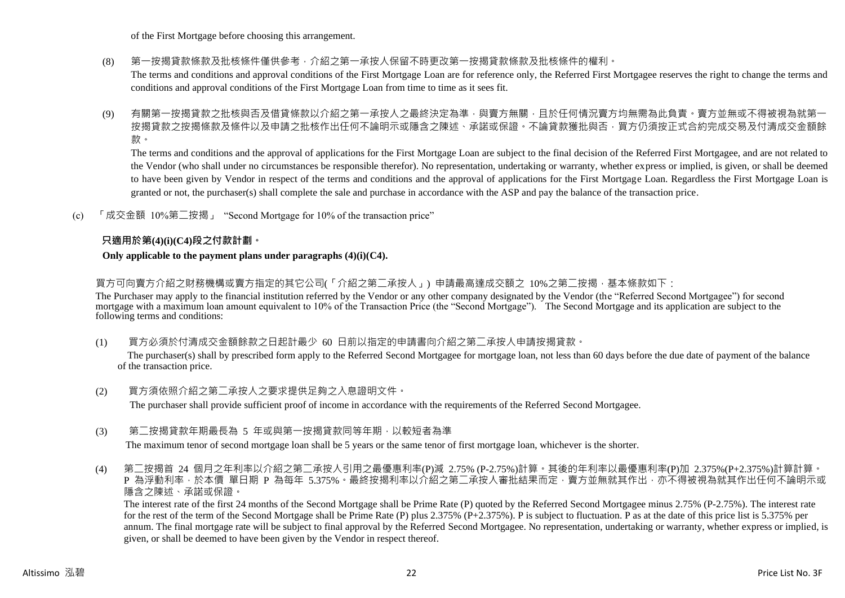of the First Mortgage before choosing this arrangement.

(8) 第一按揭貸款條款及批核條件僅供參考,介紹之第一承按人保留不時更改第一按揭貸款條款及批核條件的權利。

The terms and conditions and approval conditions of the First Mortgage Loan are for reference only, the Referred First Mortgagee reserves the right to change the terms and conditions and approval conditions of the First Mortgage Loan from time to time as it sees fit.

(9) 有關第一按揭貸款之批核與否及借貸條款以介紹之第一承按人之最終決定為準,與賣方無關,且於任何情況賣方均無需為此負責。賣方並無或不得被視為就第一 按揭貸款之按揭條款及條件以及申請之批核作出任何不論明示或隱含之陳述、承諾或保證。不論貸款獲批與否,買方仍須按正式合約完成交易及付清成交金額餘 款。

The terms and conditions and the approval of applications for the First Mortgage Loan are subject to the final decision of the Referred First Mortgagee, and are not related to the Vendor (who shall under no circumstances be responsible therefor). No representation, undertaking or warranty, whether express or implied, is given, or shall be deemed to have been given by Vendor in respect of the terms and conditions and the approval of applications for the First Mortgage Loan. Regardless the First Mortgage Loan is granted or not, the purchaser(s) shall complete the sale and purchase in accordance with the ASP and pay the balance of the transaction price.

(c) 「成交金額 10%第二按揭」 "Second Mortgage for 10% of the transaction price"

# **只適用於第(4)(i)(C4)段之付款計劃。**

#### **Only applicable to the payment plans under paragraphs (4)(i)(C4).**

買方可向賣方介紹之財務機構或賣方指定的其它公司(「介紹之第二承按人」) 申請最高達成交額之 10%之第二按揭,基本條款如下:

The Purchaser may apply to the financial institution referred by the Vendor or any other company designated by the Vendor (the "Referred Second Mortgagee") for second mortgage with a maximum loan amount equivalent to 10% of the Transaction Price (the "Second Mortgage"). The Second Mortgage and its application are subject to the following terms and conditions:

(1) 買方必須於付清成交金額餘款之日起計最少 60 日前以指定的申請書向介紹之第二承按人申請按揭貸款。

The purchaser(s) shall by prescribed form apply to the Referred Second Mortgagee for mortgage loan, not less than 60 days before the due date of payment of the balance of the transaction price.

- (2) 買方須依照介紹之第二承按人之要求提供足夠之入息證明文件。 The purchaser shall provide sufficient proof of income in accordance with the requirements of the Referred Second Mortgagee.
- (3) 第二按揭貸款年期最長為 5 年或與第一按揭貸款同等年期,以較短者為準

The maximum tenor of second mortgage loan shall be 5 years or the same tenor of first mortgage loan, whichever is the shorter.

(4) 第二按揭首 24 個月之年利率以介紹之第二承按人引用之最優惠利率(P)減 2.75% (P-2.75%)計算。其後的年利率以最優惠利率(P)加 2.375%(P+2.375%)計算計算。 P 為浮動利率,於本價 單日期 P 為每年 5.375%。最終按揭利率以介紹之第二承按人審批結果而定,賣方並無就其作出,亦不得被視為就其作出任何不論明示或 隱含之陳述、承諾或保證。

The interest rate of the first 24 months of the Second Mortgage shall be Prime Rate (P) quoted by the Referred Second Mortgagee minus 2.75% (P-2.75%). The interest rate for the rest of the term of the Second Mortgage shall be Prime Rate (P) plus 2.375% (P+2.375%). P is subject to fluctuation. P as at the date of this price list is 5.375% per annum. The final mortgage rate will be subject to final approval by the Referred Second Mortgagee. No representation, undertaking or warranty, whether express or implied, is given, or shall be deemed to have been given by the Vendor in respect thereof.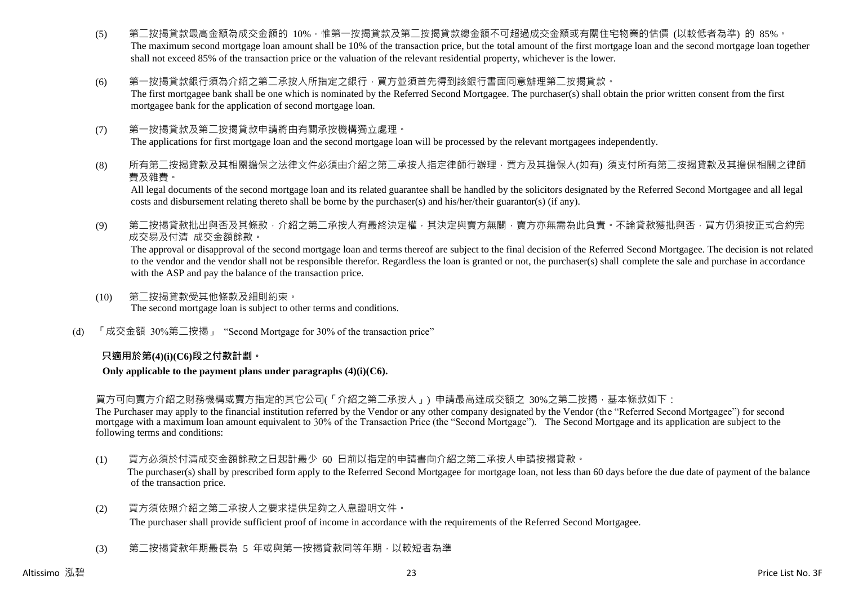- (5) 第二按揭貸款最高金額為成交金額的 10%,惟第一按揭貸款及第二按揭貸款總金額不可超過成交金額或有關住宅物業的估價 (以較低者為準) 的 85%。 The maximum second mortgage loan amount shall be 10% of the transaction price, but the total amount of the first mortgage loan and the second mortgage loan together shall not exceed 85% of the transaction price or the valuation of the relevant residential property, whichever is the lower.
- (6) 第一按揭貸款銀行須為介紹之第二承按人所指定之銀行,買方並須首先得到該銀行書面同意辦理第二按揭貸款。 The first mortgagee bank shall be one which is nominated by the Referred Second Mortgagee. The purchaser(s) shall obtain the prior written consent from the first mortgagee bank for the application of second mortgage loan.
- (7) 第一按揭貸款及第二按揭貸款申請將由有關承按機構獨立處理。 The applications for first mortgage loan and the second mortgage loan will be processed by the relevant mortgagees independently.
- (8) 所有第二按揭貸款及其相關擔保之法律文件必須由介紹之第二承按人指定律師行辦理,買方及其擔保人(如有) 須支付所有第二按揭貸款及其擔保相關之律師 費及雜費。

All legal documents of the second mortgage loan and its related guarantee shall be handled by the solicitors designated by the Referred Second Mortgagee and all legal costs and disbursement relating thereto shall be borne by the purchaser(s) and his/her/their guarantor(s) (if any).

(9) 第二按揭貸款批出與否及其條款,介紹之第二承按人有最終決定權,其決定與賣方無關,賣方亦無需為此負責。不論貸款獲批與否,買方仍須按正式合約完 成交易及付清 成交金額餘款。

The approval or disapproval of the second mortgage loan and terms thereof are subject to the final decision of the Referred Second Mortgagee. The decision is not related to the vendor and the vendor shall not be responsible therefor. Regardless the loan is granted or not, the purchaser(s) shall complete the sale and purchase in accordance with the ASP and pay the balance of the transaction price.

- (10) 第二按揭貸款受其他條款及細則約束。 The second mortgage loan is subject to other terms and conditions.
- (d) 「成交金額 30%第二按揭」 "Second Mortgage for 30% of the transaction price"

# **只適用於第(4)(i)(C6)段之付款計劃。**

# **Only applicable to the payment plans under paragraphs (4)(i)(C6).**

買方可向賣方介紹之財務機構或賣方指定的其它公司(「介紹之第二承按人」) 申請最高達成交額之 30%之第二按揭,基本條款如下:

The Purchaser may apply to the financial institution referred by the Vendor or any other company designated by the Vendor (the "Referred Second Mortgagee") for second mortgage with a maximum loan amount equivalent to 30% of the Transaction Price (the "Second Mortgage"). The Second Mortgage and its application are subject to the following terms and conditions:

- (1) 買方必須於付清成交金額餘款之日起計最少 60 日前以指定的申請書向介紹之第二承按人申請按揭貸款。 The purchaser(s) shall by prescribed form apply to the Referred Second Mortgagee for mortgage loan, not less than 60 days before the due date of payment of the balance of the transaction price.
- (2) 買方須依照介紹之第二承按人之要求提供足夠之入息證明文件。 The purchaser shall provide sufficient proof of income in accordance with the requirements of the Referred Second Mortgagee.
- (3) 第二按揭貸款年期最長為 5 年或與第一按揭貸款同等年期,以較短者為準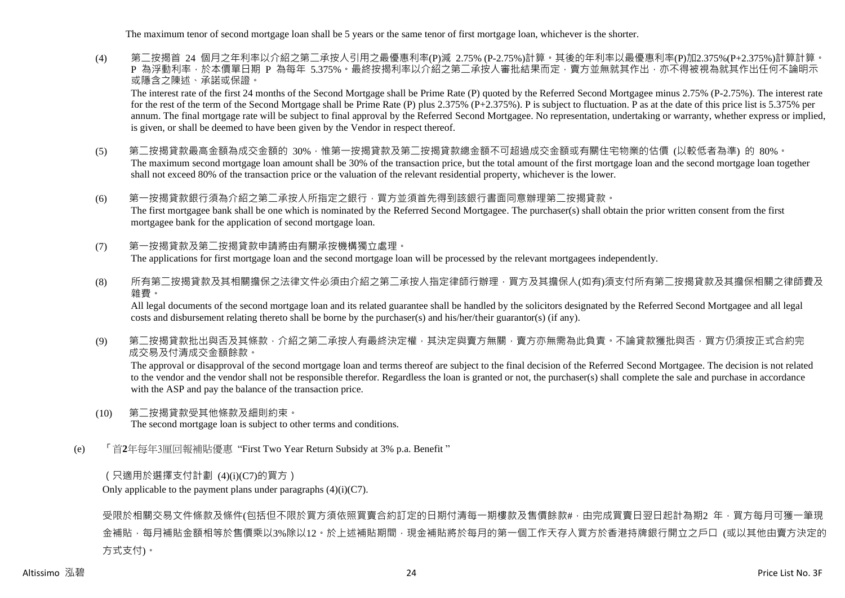The maximum tenor of second mortgage loan shall be 5 years or the same tenor of first mortgage loan, whichever is the shorter.

(4) 第二按揭首 24 個月之年利率以介紹之第二承按人引用之最優惠利率(P)減 2.75% (P-2.75%)計算。其後的年利率以最優惠利率(P)加2.375%(P+2.375%)計算計算。 P 為浮動利率,於本價單日期 P 為每年 5.375%。最終按揭利率以介紹之第二承按人審批結果而定,賣方並無就其作出,亦不得被視為就其作出任何不論明示 或隱含之陳述、承諾或保證。

The interest rate of the first 24 months of the Second Mortgage shall be Prime Rate (P) quoted by the Referred Second Mortgagee minus 2.75% (P-2.75%). The interest rate for the rest of the term of the Second Mortgage shall be Prime Rate (P) plus 2.375% ( $P+2.375\%$ ). P is subject to fluctuation. P as at the date of this price list is 5.375% per annum. The final mortgage rate will be subject to final approval by the Referred Second Mortgagee. No representation, undertaking or warranty, whether express or implied, is given, or shall be deemed to have been given by the Vendor in respect thereof.

(5) 第二按揭貸款最高金額為成交金額的 30%,惟第一按揭貸款及第二按揭貸款總金額不可超過成交金額或有關住宅物業的估價 (以較低者為準) 的 80%。 The maximum second mortgage loan amount shall be 30% of the transaction price, but the total amount of the first mortgage loan and the second mortgage loan together shall not exceed 80% of the transaction price or the valuation of the relevant residential property, whichever is the lower.

(6) 第一按揭貸款銀行須為介紹之第二承按人所指定之銀行,買方並須首先得到該銀行書面同意辦理第二按揭貸款。 The first mortgagee bank shall be one which is nominated by the Referred Second Mortgagee. The purchaser(s) shall obtain the prior written consent from the first mortgagee bank for the application of second mortgage loan.

- (7) 第一按揭貸款及第二按揭貸款申請將由有關承按機構獨立處理。 The applications for first mortgage loan and the second mortgage loan will be processed by the relevant mortgagees independently.
- (8) 所有第二按揭貸款及其相關擔保之法律文件必須由介紹之第二承按人指定律師行辦理,買方及其擔保人(如有)須支付所有第二按揭貸款及其擔保相關之律師費及 雜費。

All legal documents of the second mortgage loan and its related guarantee shall be handled by the solicitors designated by the Referred Second Mortgagee and all legal costs and disbursement relating thereto shall be borne by the purchaser(s) and his/her/their guarantor(s) (if any).

(9) 第二按揭貸款批出與否及其條款,介紹之第二承按人有最終決定權,其決定與賣方無關,賣方亦無需為此負責。不論貸款獲批與否,買方仍須按正式合約完 成交易及付清成交金額餘款。

The approval or disapproval of the second mortgage loan and terms thereof are subject to the final decision of the Referred Second Mortgagee. The decision is not related to the vendor and the vendor shall not be responsible therefor. Regardless the loan is granted or not, the purchaser(s) shall complete the sale and purchase in accordance with the ASP and pay the balance of the transaction price.

- (10) 第二按揭貸款受其他條款及細則約束。 The second mortgage loan is subject to other terms and conditions.
- (e) 「首**2**年每年3厘回報補貼優惠 "First Two Year Return Subsidy at 3% p.a. Benefit "

(只適用於選擇支付計劃 (4)(i)(C7)的買方)

Only applicable to the payment plans under paragraphs  $(4)(i)(C7)$ .

受限於相關交易文件條款及條件(包括但不限於買方須依照買賣合約訂定的日期付清每一期樓款及售價餘款#,由完成買賣日翌日起計為期2 年,買方每月可獲一筆現 金補貼,每月補貼金額相等於售價乘以3%除以12。於上述補貼期間,現金補貼將於每月的第一個工作天存入買方於香港持牌銀行開立之戶口 (或以其他由賣方決定的 方式支付)。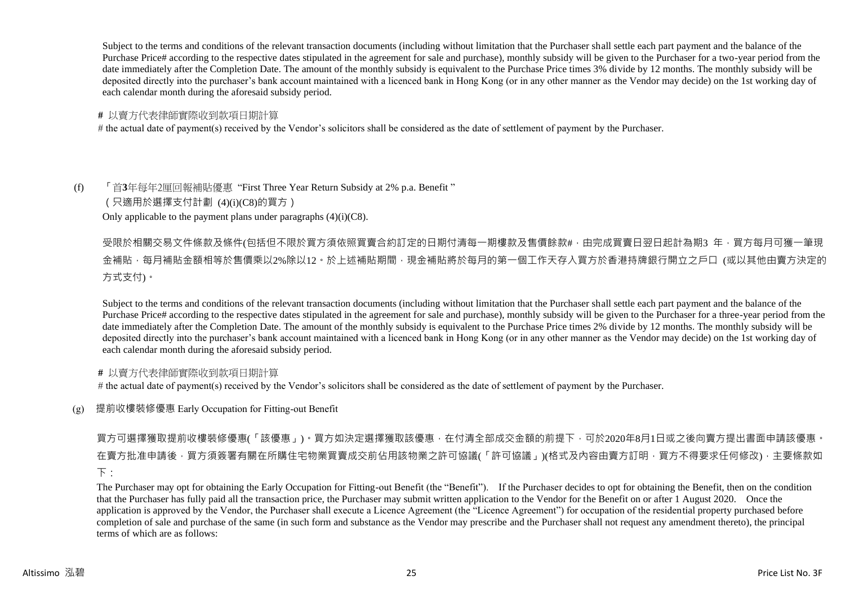Subject to the terms and conditions of the relevant transaction documents (including without limitation that the Purchaser shall settle each part payment and the balance of the Purchase Price# according to the respective dates stipulated in the agreement for sale and purchase), monthly subsidy will be given to the Purchaser for a two-year period from the date immediately after the Completion Date. The amount of the monthly subsidy is equivalent to the Purchase Price times 3% divide by 12 months. The monthly subsidy will be deposited directly into the purchaser's bank account maintained with a licenced bank in Hong Kong (or in any other manner as the Vendor may decide) on the 1st working day of each calendar month during the aforesaid subsidy period.

# **#** 以賣方代表律師實際收到款項日期計算

# the actual date of payment(s) received by the Vendor's solicitors shall be considered as the date of settlement of payment by the Purchaser.

# (f) 「首**3**年每年2厘回報補貼優惠 "First Three Year Return Subsidy at 2% p.a. Benefit "

(只適用於選擇支付計劃 (4)(i)(C8)的買方)

Only applicable to the payment plans under paragraphs  $(4)(i)(C8)$ .

# 受限於相關交易文件條款及條件(包括但不限於買方須依照買賣合約訂定的日期付清每一期樓款及售價餘款#,由完成買賣日翌日起計為期3 年,買方每月可獲一筆現 金補貼,每月補貼金額相等於售價乘以2%除以12。於上述補貼期間,現金補貼將於每月的第一個工作天存入買方於香港持牌銀行開立之戶口 (或以其他由賣方決定的 方式支付)。

Subject to the terms and conditions of the relevant transaction documents (including without limitation that the Purchaser shall settle each part payment and the balance of the Purchase Price# according to the respective dates stipulated in the agreement for sale and purchase), monthly subsidy will be given to the Purchaser for a three-year period from the date immediately after the Completion Date. The amount of the monthly subsidy is equivalent to the Purchase Price times 2% divide by 12 months. The monthly subsidy will be deposited directly into the purchaser's bank account maintained with a licenced bank in Hong Kong (or in any other manner as the Vendor may decide) on the 1st working day of each calendar month during the aforesaid subsidy period.

# **#** 以賣方代表律師實際收到款項日期計算

# the actual date of payment(s) received by the Vendor's solicitors shall be considered as the date of settlement of payment by the Purchaser.

(g) 提前收樓裝修優惠 Early Occupation for Fitting-out Benefit

# 買方可選擇獲取提前收樓裝修優惠(「該優惠」)。買方如決定選擇獲取該優惠,在付清全部成交金額的前提下,可於2020年8月1日或之後向賣方提出書面申請該優惠。 在賣方批准申請後,買方須簽署有關在所購住宅物業買賣成交前佔用該物業之許可協議(「許可協議」)(格式及內容由賣方訂明,買方不得要求任何修改),主要條款如  $\top$

The Purchaser may opt for obtaining the Early Occupation for Fitting-out Benefit (the "Benefit"). If the Purchaser decides to opt for obtaining the Benefit, then on the condition that the Purchaser has fully paid all the transaction price, the Purchaser may submit written application to the Vendor for the Benefit on or after 1 August 2020. Once the application is approved by the Vendor, the Purchaser shall execute a Licence Agreement (the "Licence Agreement") for occupation of the residential property purchased before completion of sale and purchase of the same (in such form and substance as the Vendor may prescribe and the Purchaser shall not request any amendment thereto), the principal terms of which are as follows: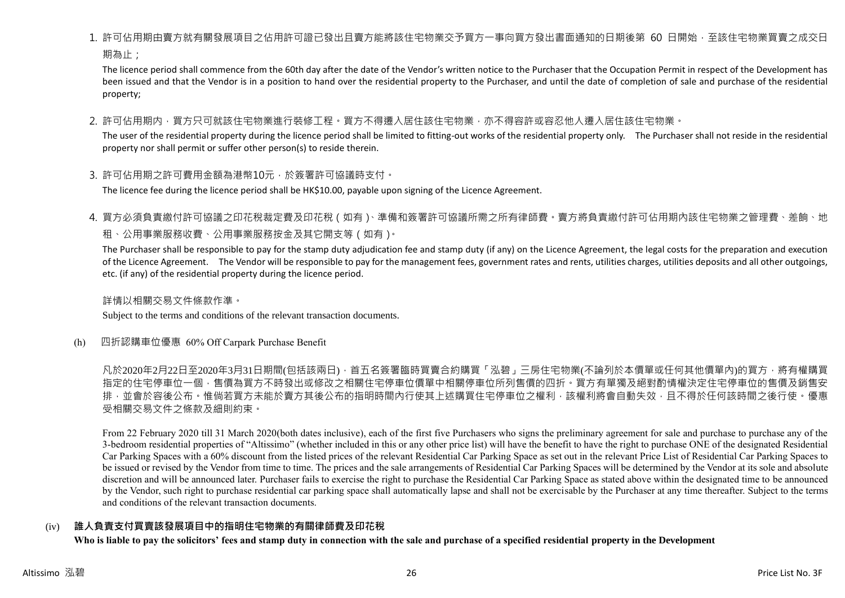# 1. 許可佔用期由賣方就有關發展項目之佔用許可證已發出且賣方能將該住宅物業交予買方一事向買方發出書面通知的日期後第 60 日開始,至該住宅物業買賣之成交日

期為止:

The licence period shall commence from the 60th day after the date of the Vendor's written notice to the Purchaser that the Occupation Permit in respect of the Development has been issued and that the Vendor is in a position to hand over the residential property to the Purchaser, and until the date of completion of sale and purchase of the residential property;

2. 許可佔用期内,買方只可就該住宅物業進行裝修工程。買方不得遷入居住該住宅物業,亦不得容許或容忍他人遷入居住該住宅物業。

The user of the residential property during the licence period shall be limited to fitting-out works of the residential property only. The Purchaser shall not reside in the residential property nor shall permit or suffer other person(s) to reside therein.

3. 許可佔用期之許可費用金額為港幣10元,於簽署許可協議時支付。

The licence fee during the licence period shall be HK\$10.00, payable upon signing of the Licence Agreement.

4. 買方必須負責繳付許可協議之印花稅裁定費及印花稅(如有)、準備和簽署許可協議所需之所有律師費。賣方將負責繳付許可佔用期內該住宅物業之管理費、差餉、地

# 租、公用事業服務收費、公用事業服務按金及其它開支等(如有)。

The Purchaser shall be responsible to pay for the stamp duty adjudication fee and stamp duty (if any) on the Licence Agreement, the legal costs for the preparation and execution of the Licence Agreement. The Vendor will be responsible to pay for the management fees, government rates and rents, utilities charges, utilities deposits and all other outgoings, etc. (if any) of the residential property during the licence period.

詳情以相關交易文件條款作準。

Subject to the terms and conditions of the relevant transaction documents.

(h) 四折認購車位優惠 60% Off Carpark Purchase Benefit

凡於2020年2月22日至2020年3月31日期間(包括該兩日),首五名簽署臨時買賣合約購買「泓碧」三房住宅物業(不論列於本價單或任何其他價單內)的買方,將有權購買 指定的住宅停車位一個,售價為買方不時發出或修改之相關住宅停車位價單中相關停車位所列售價的四折。買方有單獨及絕對酌情權決定住宅停車位的售價及銷售安 排,並會於容後公布。惟倘若買方未能於賣方其後公布的指明時間內行使其上述購買住宅停車位之權利,該權利將會自動失效,且不得於任何該時間之後行使。優惠 受相關交易文件之條款及細則約束。

From 22 February 2020 till 31 March 2020(both dates inclusive), each of the first five Purchasers who signs the preliminary agreement for sale and purchase to purchase any of the 3-bedroom residential properties of "Altissimo" (whether included in this or any other price list) will have the benefit to have the right to purchase ONE of the designated Residential Car Parking Spaces with a 60% discount from the listed prices of the relevant Residential Car Parking Space as set out in the relevant Price List of Residential Car Parking Spaces to be issued or revised by the Vendor from time to time. The prices and the sale arrangements of Residential Car Parking Spaces will be determined by the Vendor at its sole and absolute discretion and will be announced later. Purchaser fails to exercise the right to purchase the Residential Car Parking Space as stated above within the designated time to be announced by the Vendor, such right to purchase residential car parking space shall automatically lapse and shall not be exercisable by the Purchaser at any time thereafter. Subject to the terms and conditions of the relevant transaction documents.

# (iv) **誰人負責支付買賣該發展項目中的指明住宅物業的有關律師費及印花稅**

**Who is liable to pay the solicitors' fees and stamp duty in connection with the sale and purchase of a specified residential property in the Development**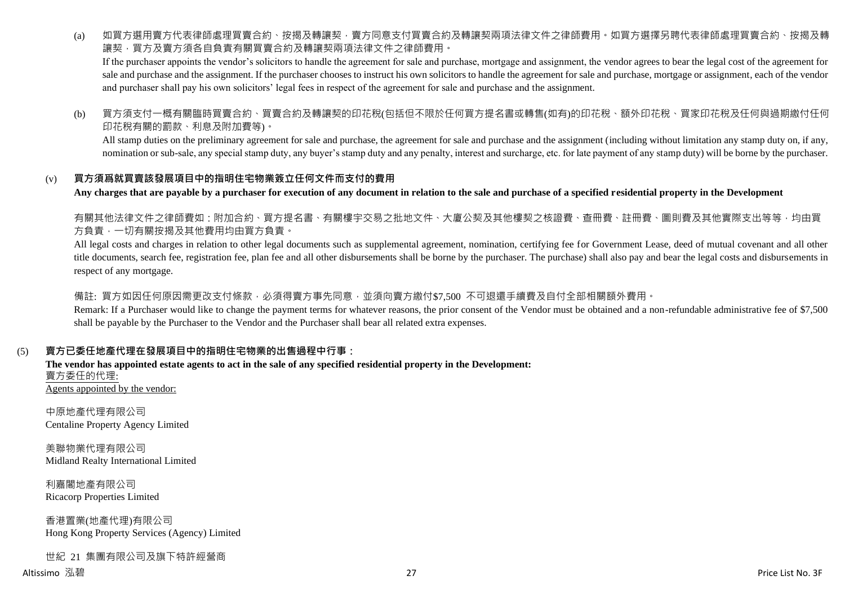(a) 如買方選用賣方代表律師處理買賣合約、按揭及轉讓契,賣方同意支付買賣合約及轉讓契兩項法律文件之律師費用。如買方選擇另聘代表律師處理買賣合約、按揭及轉 讓契,買方及賣方須各自負責有關買賣合約及轉讓契兩項法律文件之律師費用。

If the purchaser appoints the vendor's solicitors to handle the agreement for sale and purchase, mortgage and assignment, the vendor agrees to bear the legal cost of the agreement for sale and purchase and the assignment. If the purchaser chooses to instruct his own solicitors to handle the agreement for sale and purchase, mortgage or assignment, each of the vendor and purchaser shall pay his own solicitors' legal fees in respect of the agreement for sale and purchase and the assignment.

(b) 買方須支付一概有關臨時買賣合約、買賣合約及轉讓契的印花稅(包括但不限於任何買方提名書或轉售(如有)的印花稅、額外印花稅、買家印花稅及任何與過期繳付任何 印花稅有關的罰款、利息及附加費等)。

All stamp duties on the preliminary agreement for sale and purchase, the agreement for sale and purchase and the assignment (including without limitation any stamp duty on, if any, nomination or sub-sale, any special stamp duty, any buyer's stamp duty and any penalty, interest and surcharge, etc. for late payment of any stamp duty) will be borne by the purchaser.

# (v) **買方須爲就買賣該發展項目中的指明住宅物業簽立任何文件而支付的費用**

**Any charges that are payable by a purchaser for execution of any document in relation to the sale and purchase of a specified residential property in the Development**

有關其他法律文件之律師費如:附加合約、買方提名書、有關樓宇交易之批地文件、大廈公契及其他樓契之核證費、查冊費、註冊費、圖則費及其他實際支出等等,均由買 方負責,一切有關按揭及其他費用均由買方負責。

All legal costs and charges in relation to other legal documents such as supplemental agreement, nomination, certifying fee for Government Lease, deed of mutual covenant and all other title documents, search fee, registration fee, plan fee and all other disbursements shall be borne by the purchaser. The purchase) shall also pay and bear the legal costs and disbursements in respect of any mortgage.

備註: 買方如因任何原因需更改支付條款,必須得賣方事先同意,並須向賣方繳付\$7,500 不可退還手續費及自付全部相關額外費用。

Remark: If a Purchaser would like to change the payment terms for whatever reasons, the prior consent of the Vendor must be obtained and a non-refundable administrative fee of \$7,500 shall be payable by the Purchaser to the Vendor and the Purchaser shall bear all related extra expenses.

# (5) **賣方已委任地產代理在發展項目中的指明住宅物業的出售過程中行事:**

**The vendor has appointed estate agents to act in the sale of any specified residential property in the Development:** 賣方委任的代理: Agents appointed by the vendor:

中原地產代理有限公司 Centaline Property Agency Limited

美聯物業代理有限公司 Midland Realty International Limited

利嘉閣地產有限公司 Ricacorp Properties Limited

香港置業(地產代理)有限公司 Hong Kong Property Services (Agency) Limited

世紀 21 集團有限公司及旗下特許經營商